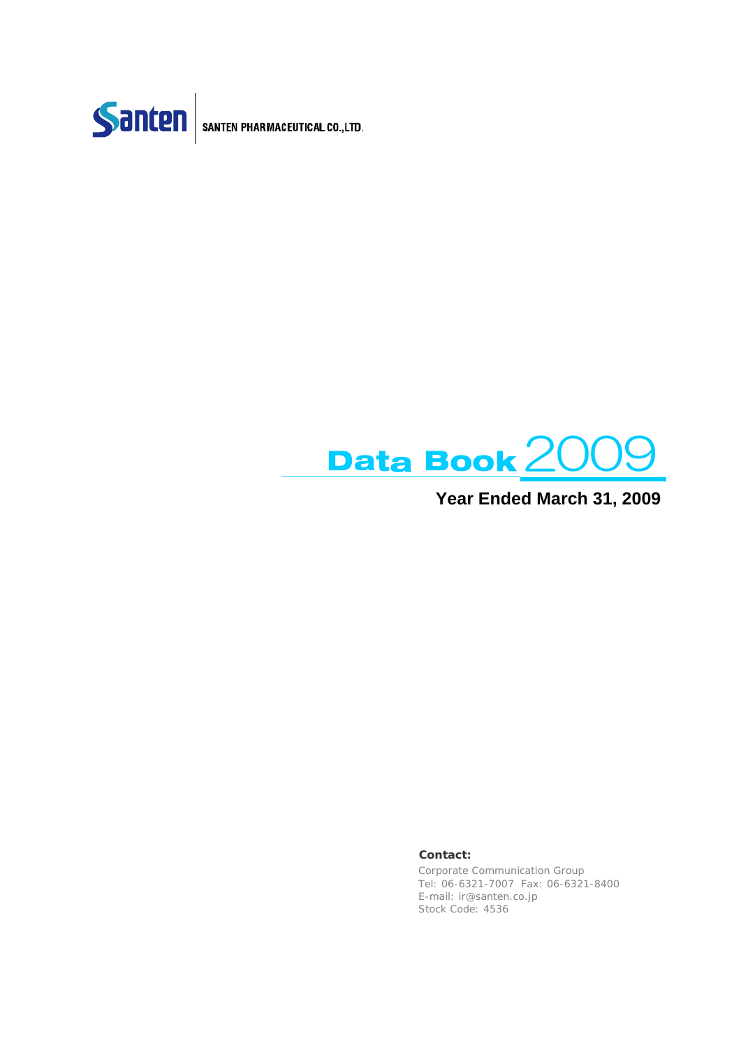



## **Year Ended March 31, 2009**

#### **Contact:**

Corporate Communication Group Tel: 06-6321-7007 Fax: 06-6321-8400 E-mail: ir@santen.co.jp Stock Code: 4536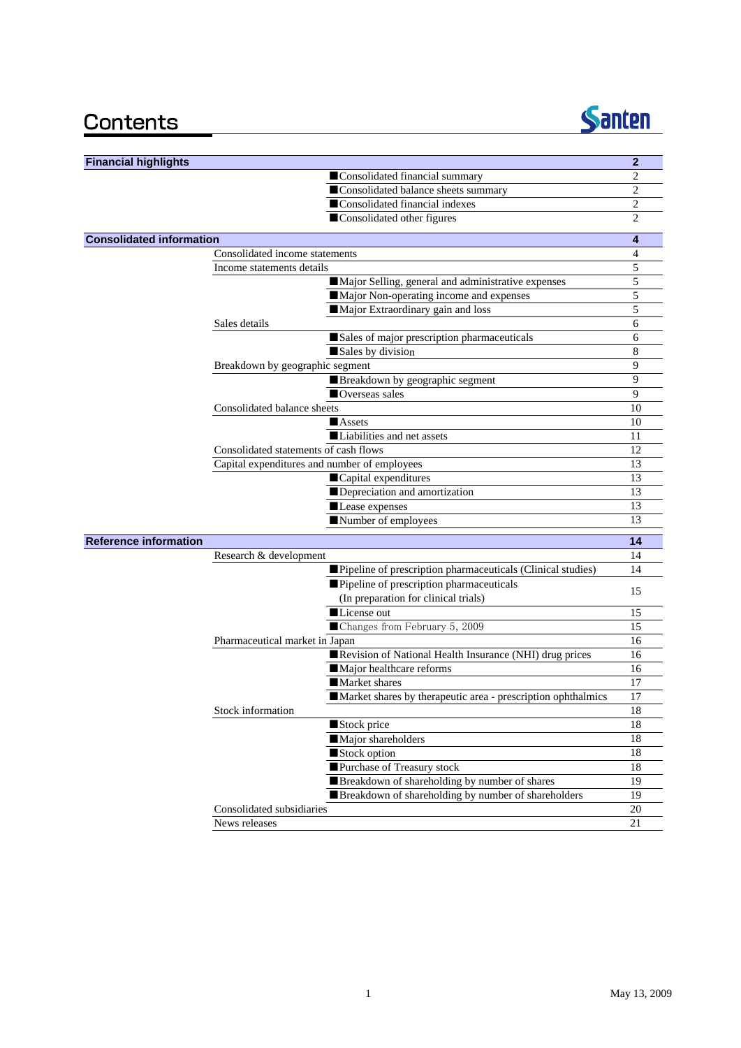

| <b>Financial highlights</b>     |                                                              | $\mathbf{2}$   |
|---------------------------------|--------------------------------------------------------------|----------------|
|                                 | Consolidated financial summary                               | $\overline{2}$ |
|                                 | Consolidated balance sheets summary                          | $\overline{2}$ |
|                                 | Consolidated financial indexes                               | 2              |
|                                 | Consolidated other figures                                   | $\overline{2}$ |
| <b>Consolidated information</b> |                                                              | 4              |
|                                 | Consolidated income statements                               | 4              |
|                                 | Income statements details                                    | 5              |
|                                 | Major Selling, general and administrative expenses           | 5              |
|                                 | Major Non-operating income and expenses                      | 5              |
|                                 | Major Extraordinary gain and loss                            | 5              |
|                                 | Sales details                                                | 6              |
|                                 | Sales of major prescription pharmaceuticals                  | 6              |
|                                 | Sales by division                                            | 8              |
|                                 | Breakdown by geographic segment                              | 9              |
|                                 | Breakdown by geographic segment                              | 9              |
|                                 | ■ Overseas sales                                             | 9              |
|                                 | Consolidated balance sheets                                  | 10             |
|                                 | <b>Assets</b>                                                | 10             |
|                                 | Liabilities and net assets                                   | 11             |
|                                 | Consolidated statements of cash flows                        | 12             |
|                                 | Capital expenditures and number of employees                 | 13             |
|                                 | Capital expenditures                                         | 13             |
|                                 | Depreciation and amortization                                | 13             |
|                                 | Lease expenses                                               | 13             |
|                                 | Number of employees                                          | 13             |
| <b>Reference information</b>    |                                                              | 14             |
|                                 | Research & development                                       | 14             |
|                                 | Pipeline of prescription pharmaceuticals (Clinical studies)  | 14             |
|                                 | Pipeline of prescription pharmaceuticals                     | 15             |
|                                 | (In preparation for clinical trials)                         |                |
|                                 | License out                                                  | 15             |
|                                 | Changes from February 5, 2009                                | 15             |
|                                 | Pharmaceutical market in Japan                               | 16             |
|                                 | Revision of National Health Insurance (NHI) drug prices      | 16             |
|                                 | Major healthcare reforms                                     | 16             |
|                                 | <b>Market shares</b>                                         | 17             |
|                                 | Market shares by therapeutic area - prescription ophthalmics | 17             |
|                                 | Stock information                                            | 18             |
|                                 | Stock price                                                  | 18             |
|                                 | Major shareholders                                           | 18             |
|                                 | Stock option                                                 | 18             |
|                                 | Purchase of Treasury stock                                   | $18\,$         |
|                                 | Breakdown of shareholding by number of shares                | 19             |
|                                 | Breakdown of shareholding by number of shareholders          | 19             |
|                                 | Consolidated subsidiaries                                    | 20             |
|                                 | News releases                                                | 21             |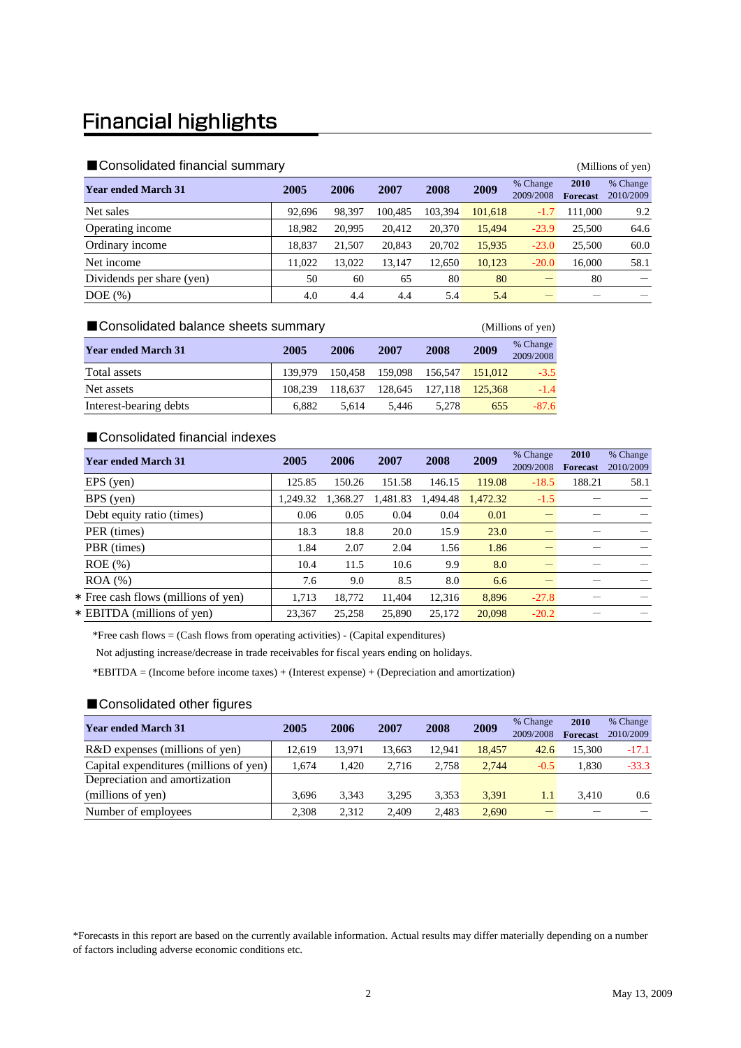# **Financial highlights**

| ■ Consolidated financial summary<br>(Millions of yen) |        |        |         |         |         |                       |                         |                       |  |  |
|-------------------------------------------------------|--------|--------|---------|---------|---------|-----------------------|-------------------------|-----------------------|--|--|
| <b>Year ended March 31</b>                            | 2005   | 2006   | 2007    | 2008    | 2009    | % Change<br>2009/2008 | 2010<br><b>Forecast</b> | % Change<br>2010/2009 |  |  |
| Net sales                                             | 92,696 | 98,397 | 100.485 | 103.394 | 101,618 | $-1.7$                | 111.000                 | 9.2                   |  |  |
| Operating income                                      | 18,982 | 20,995 | 20.412  | 20,370  | 15,494  | $-23.9$               | 25,500                  | 64.6                  |  |  |
| Ordinary income                                       | 18.837 | 21,507 | 20,843  | 20,702  | 15,935  | $-23.0$               | 25,500                  | 60.0                  |  |  |
| Net income                                            | 11.022 | 13,022 | 13.147  | 12.650  | 10,123  | $-20.0$               | 16,000                  | 58.1                  |  |  |
| Dividends per share (yen)                             | 50     | 60     | 65      | 80      | 80      |                       | 80                      |                       |  |  |
| $DOE$ $(\%)$                                          | 4.0    | 4.4    | 4.4     | 5.4     | 5.4     |                       |                         |                       |  |  |

| ■ Consolidated balance sheets summary<br>(Millions of yen) |         |         |         |         |         |                       |  |  |  |
|------------------------------------------------------------|---------|---------|---------|---------|---------|-----------------------|--|--|--|
| <b>Year ended March 31</b>                                 | 2005    | 2006    | 2007    | 2008    | 2009    | % Change<br>2009/2008 |  |  |  |
| Total assets                                               | 139.979 | 150.458 | 159.098 | 156,547 | 151.012 | $-3.5$                |  |  |  |
| Net assets                                                 | 108.239 | 118.637 | 128.645 | 127.118 | 125,368 | $-1.4$                |  |  |  |
| Interest-bearing debts                                     | 6.882   | 5.614   | 5.446   | 5.278   | 655     | $-87.6$               |  |  |  |

#### ■Consolidated financial indexes

| <b>Year ended March 31</b>          | 2005     | 2006     | 2007     | 2008     | 2009     | % Change<br>2009/2008 | 2010<br><b>Forecast</b> | % Change<br>2010/2009 |
|-------------------------------------|----------|----------|----------|----------|----------|-----------------------|-------------------------|-----------------------|
| EPS (yen)                           | 125.85   | 150.26   | 151.58   | 146.15   | 119.08   | $-18.5$               | 188.21                  | 58.1                  |
| BPS (yen)                           | 1.249.32 | 1.368.27 | 1,481.83 | 1.494.48 | 1.472.32 | $-1.5$                |                         |                       |
| Debt equity ratio (times)           | 0.06     | 0.05     | 0.04     | 0.04     | 0.01     |                       |                         |                       |
| PER (times)                         | 18.3     | 18.8     | 20.0     | 15.9     | 23.0     |                       |                         |                       |
| PBR (times)                         | 1.84     | 2.07     | 2.04     | 1.56     | 1.86     |                       |                         |                       |
| $ROE$ $(\% )$                       | 10.4     | 11.5     | 10.6     | 9.9      | 8.0      |                       |                         |                       |
| $ROA (\%)$                          | 7.6      | 9.0      | 8.5      | 8.0      | 6.6      |                       |                         |                       |
| * Free cash flows (millions of yen) | 1,713    | 18,772   | 11,404   | 12,316   | 8,896    | $-27.8$               |                         |                       |
| * EBITDA (millions of yen)          | 23.367   | 25.258   | 25,890   | 25.172   | 20.098   | $-20.2$               |                         |                       |

\*Free cash flows = (Cash flows from operating activities) - (Capital expenditures)

Not adjusting increase/decrease in trade receivables for fiscal years ending on holidays.

\*EBITDA = (Income before income taxes) + (Interest expense) + (Depreciation and amortization)

### ■Consolidated other figures

| <b>Year ended March 31</b>             | 2005   | 2006   | 2007   | 2008   | 2009   | % Change  | 2010            | % Change  |
|----------------------------------------|--------|--------|--------|--------|--------|-----------|-----------------|-----------|
|                                        |        |        |        |        |        | 2009/2008 | <b>Forecast</b> | 2010/2009 |
| R&D expenses (millions of yen)         | 12.619 | 13.971 | 13.663 | 12.941 | 18.457 | 42.6      | 15,300          | $-17.1$   |
| Capital expenditures (millions of yen) | 1.674  | 1.420  | 2.716  | 2.758  | 2.744  | $-0.5$    | 1.830           | $-33.3$   |
| Depreciation and amortization          |        |        |        |        |        |           |                 |           |
| (millions of yen)                      | 3.696  | 3.343  | 3.295  | 3,353  | 3.391  | $1.1\,$   | 3.410           | 0.6       |
| Number of employees                    | 2.308  | 2.312  | 2.409  | 2.483  | 2,690  |           |                 |           |

\*Forecasts in this report are based on the currently available information. Actual results may differ materially depending on a number of factors including adverse economic conditions etc.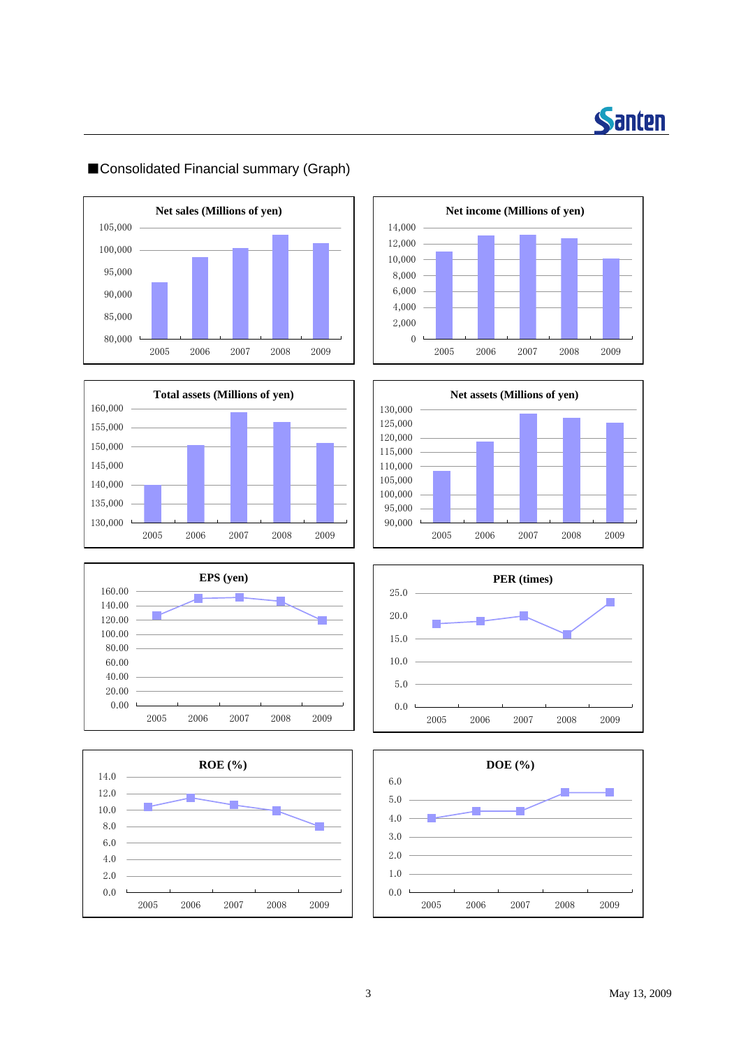

## 100,000 — **Net sales (Millions of yen)** 80,000 85,000 90,000 95,000 105,000 2005 2006 2007 2008 2009















## ■Consolidated Financial summary (Graph)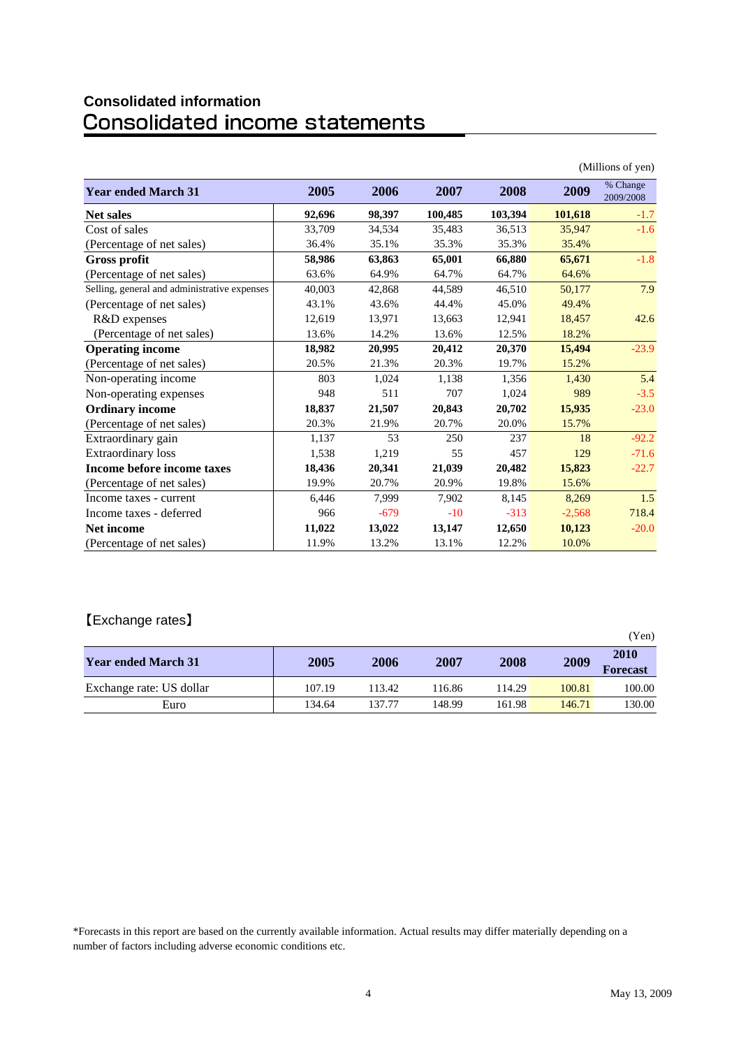# **Consolidated information**

|                                              |        |        |         |         |          | (Millions of yen)     |
|----------------------------------------------|--------|--------|---------|---------|----------|-----------------------|
| <b>Year ended March 31</b>                   | 2005   | 2006   | 2007    | 2008    | 2009     | % Change<br>2009/2008 |
| <b>Net sales</b>                             | 92,696 | 98,397 | 100,485 | 103,394 | 101,618  | $-1.7$                |
| Cost of sales                                | 33,709 | 34,534 | 35,483  | 36,513  | 35,947   | $-1.6$                |
| (Percentage of net sales)                    | 36.4%  | 35.1%  | 35.3%   | 35.3%   | 35.4%    |                       |
| <b>Gross profit</b>                          | 58,986 | 63,863 | 65,001  | 66.880  | 65,671   | $-1.8$                |
| (Percentage of net sales)                    | 63.6%  | 64.9%  | 64.7%   | 64.7%   | 64.6%    |                       |
| Selling, general and administrative expenses | 40,003 | 42,868 | 44,589  | 46,510  | 50,177   | 7.9                   |
| (Percentage of net sales)                    | 43.1%  | 43.6%  | 44.4%   | 45.0%   | 49.4%    |                       |
| R&D expenses                                 | 12,619 | 13,971 | 13,663  | 12,941  | 18,457   | 42.6                  |
| (Percentage of net sales)                    | 13.6%  | 14.2%  | 13.6%   | 12.5%   | 18.2%    |                       |
| <b>Operating income</b>                      | 18,982 | 20,995 | 20,412  | 20.370  | 15,494   | $-23.9$               |
| (Percentage of net sales)                    | 20.5%  | 21.3%  | 20.3%   | 19.7%   | 15.2%    |                       |
| Non-operating income                         | 803    | 1,024  | 1,138   | 1,356   | 1,430    | 5.4                   |
| Non-operating expenses                       | 948    | 511    | 707     | 1,024   | 989      | $-3.5$                |
| <b>Ordinary income</b>                       | 18,837 | 21,507 | 20,843  | 20,702  | 15,935   | $-23.0$               |
| (Percentage of net sales)                    | 20.3%  | 21.9%  | 20.7%   | 20.0%   | 15.7%    |                       |
| Extraordinary gain                           | 1,137  | 53     | 250     | 237     | 18       | $-92.2$               |
| <b>Extraordinary</b> loss                    | 1,538  | 1,219  | 55      | 457     | 129      | $-71.6$               |
| Income before income taxes                   | 18,436 | 20,341 | 21,039  | 20,482  | 15,823   | $-22.7$               |
| (Percentage of net sales)                    | 19.9%  | 20.7%  | 20.9%   | 19.8%   | 15.6%    |                       |
| Income taxes - current                       | 6,446  | 7,999  | 7,902   | 8,145   | 8,269    | 1.5                   |
| Income taxes - deferred                      | 966    | $-679$ | $-10$   | $-313$  | $-2,568$ | 718.4                 |
| <b>Net income</b>                            | 11,022 | 13,022 | 13,147  | 12,650  | 10,123   | $-20.0$               |
| (Percentage of net sales)                    | 11.9%  | 13.2%  | 13.1%   | 12.2%   | 10.0%    |                       |

### 【Exchange rates】

| ີ                          |        |        |        |        |        | (Yen)                   |
|----------------------------|--------|--------|--------|--------|--------|-------------------------|
| <b>Year ended March 31</b> | 2005   | 2006   | 2007   | 2008   | 2009   | 2010<br><b>Forecast</b> |
| Exchange rate: US dollar   | 107.19 | 113.42 | 116.86 | 114.29 | 100.81 | 100.00                  |
| Euro                       | 134.64 | 137.77 | 148.99 | 161.98 | 146.71 | 130.00                  |

\*Forecasts in this report are based on the currently available information. Actual results may differ materially depending on a number of factors including adverse economic conditions etc.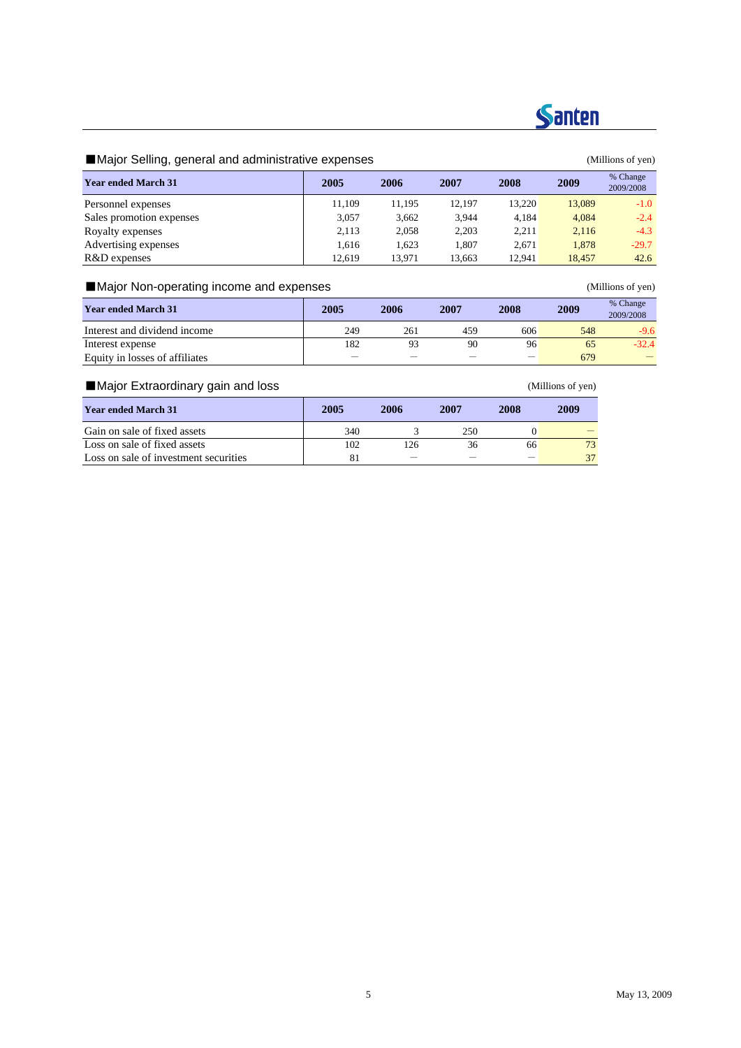

# **Santen**

### ■Major Selling, general and administrative expenses (Millions of yen)

| <b>Year ended March 31</b> | 2005   | 2006   | 2007   | 2008   | 2009   | % Change<br>2009/2008 |
|----------------------------|--------|--------|--------|--------|--------|-----------------------|
| Personnel expenses         | 11.109 | 11.195 | 12.197 | 13.220 | 13,089 | $-1.0$                |
| Sales promotion expenses   | 3,057  | 3.662  | 3,944  | 4.184  | 4,084  | $-2.4$                |
| Royalty expenses           | 2.113  | 2,058  | 2,203  | 2.211  | 2,116  | $-4.3$                |
| Advertising expenses       | 1.616  | 1.623  | 1.807  | 2.671  | 1.878  | $-29.7$               |
| R&D expenses               | 12.619 | 13.971 | 13,663 | 12.941 | 18.457 | 42.6                  |

### ■Major Non-operating income and expenses (Millions of yen)

| <b>Year ended March 31</b>     | 2006<br>2005 |     | 2007 | 2008                     | 2009 | % Change<br>2009/2008 |
|--------------------------------|--------------|-----|------|--------------------------|------|-----------------------|
| Interest and dividend income   | 249          | 261 | 459  | 606                      | 548  | $-9.6$                |
| Interest expense               | 182          | 93  | 90   | 96                       | 65   | $-32.4$               |
| Equity in losses of affiliates | _            |     |      | $\overline{\phantom{m}}$ | 679  |                       |

### ■Major Extraordinary gain and loss (Millions of yen)

| <b>Year ended March 31</b>            | 2005 | 2006 | 2007 | 2008 | 2009 |
|---------------------------------------|------|------|------|------|------|
| Gain on sale of fixed assets          | 340  |      | 250  |      |      |
| Loss on sale of fixed assets          | 102  | 126  | 36   | 66   | 73   |
| Loss on sale of investment securities | 81   |      |      |      | 37   |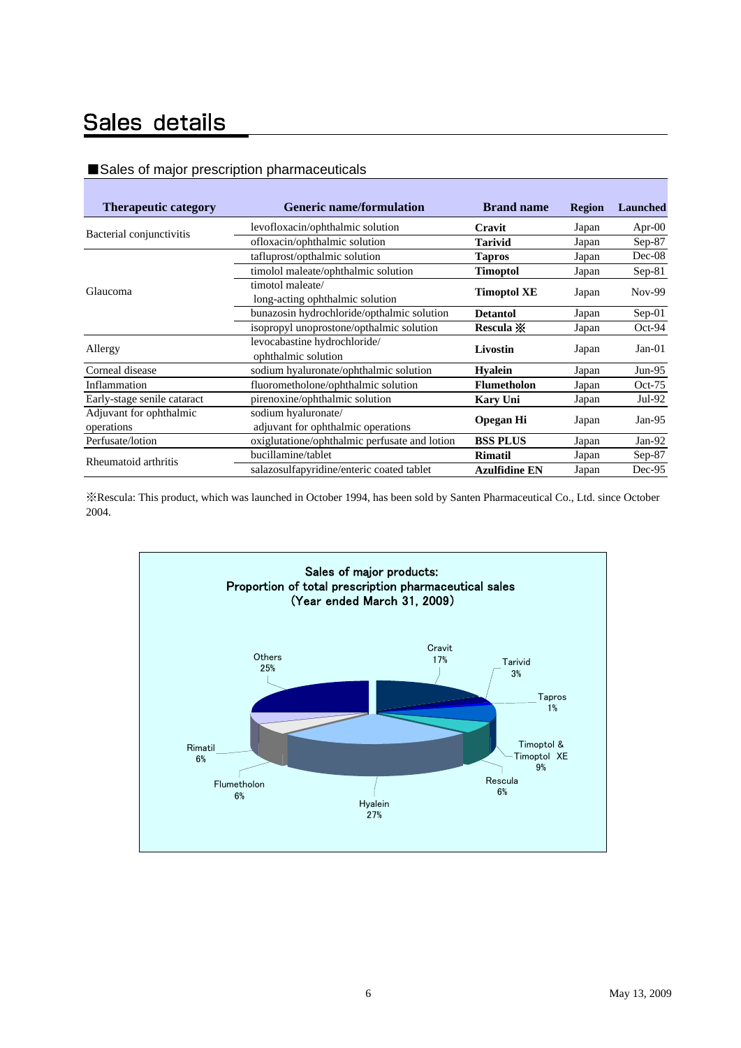# Sales details

### ■Sales of major prescription pharmaceuticals

| <b>Therapeutic category</b> | <b>Generic name/formulation</b>                        |                      | <b>Region</b> | <b>Launched</b> |
|-----------------------------|--------------------------------------------------------|----------------------|---------------|-----------------|
|                             | levofloxacin/ophthalmic solution                       | Cravit               | Japan         | Apr- $00$       |
| Bacterial conjunctivitis    | ofloxacin/ophthalmic solution                          | <b>Tarivid</b>       | Japan         | Sep-87          |
|                             | tafluprost/opthalmic solution                          | <b>Tapros</b>        | Japan         | Dec-08          |
|                             | timolol maleate/ophthalmic solution<br><b>Timoptol</b> |                      | Japan         | $Sep-81$        |
| Glaucoma                    | timotol maleate/                                       |                      |               |                 |
|                             | long-acting ophthalmic solution                        | <b>Timoptol XE</b>   | Japan         | $Nov-99$        |
|                             | bunazosin hydrochloride/opthalmic solution             | <b>Detantol</b>      | Japan         | $Sep-01$        |
|                             | isopropyl unoprostone/opthalmic solution               | Rescula $\mathbb{X}$ | Japan         | Oct-94          |
| Allergy                     | levocabastine hydrochloride/                           |                      |               | $Jan-01$        |
|                             | ophthalmic solution                                    | Livostin             | Japan         |                 |
| Corneal disease             | sodium hyaluronate/ophthalmic solution                 | <b>Hyalein</b>       | Japan         | $Jun-95$        |
| Inflammation                | fluorometholone/ophthalmic solution                    | <b>Flumetholon</b>   | Japan         | $Oct-75$        |
| Early-stage senile cataract | pirenoxine/ophthalmic solution                         | <b>Kary Uni</b>      | Japan         | Jul-92          |
| Adjuvant for ophthalmic     | sodium hyaluronate/                                    |                      |               |                 |
| operations                  | adjuvant for ophthalmic operations                     | <b>Opegan Hi</b>     | Japan         | Jan- $95$       |
| Perfusate/lotion            | oxiglutatione/ophthalmic perfusate and lotion          | <b>BSS PLUS</b>      | Japan         | Jan-92          |
| Rheumatoid arthritis        | bucillamine/tablet                                     | <b>Rimatil</b>       | Japan         | $Sep-87$        |
|                             | salazosulfapyridine/enteric coated tablet              | <b>Azulfidine EN</b> | Japan         | Dec-95          |

※Rescula: This product, which was launched in October 1994, has been sold by Santen Pharmaceutical Co., Ltd. since October 2004.

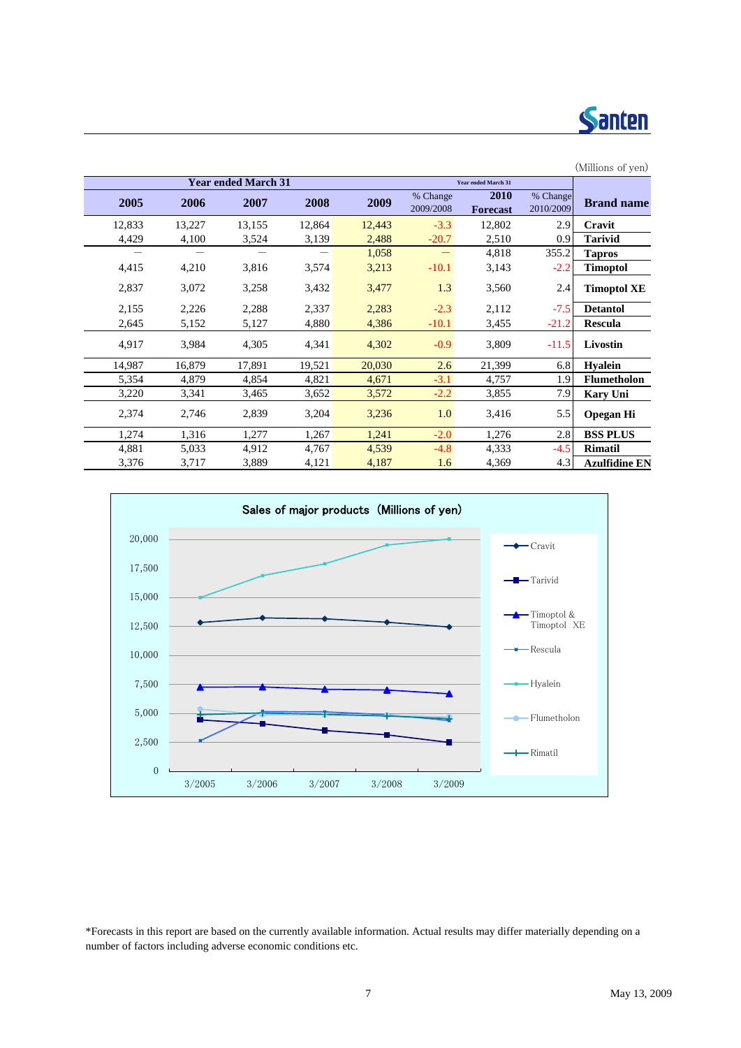

|        |        |                            |        |        |                       |                            |                       | (Millions of yen)    |
|--------|--------|----------------------------|--------|--------|-----------------------|----------------------------|-----------------------|----------------------|
|        |        | <b>Year ended March 31</b> |        |        |                       | <b>Year ended March 31</b> |                       |                      |
| 2005   | 2006   | 2007                       | 2008   | 2009   | % Change<br>2009/2008 | 2010<br><b>Forecast</b>    | % Change<br>2010/2009 | <b>Brand name</b>    |
| 12,833 | 13,227 | 13,155                     | 12,864 | 12,443 | $-3.3$                | 12,802                     | 2.9                   | Cravit               |
| 4,429  | 4,100  | 3,524                      | 3,139  | 2,488  | $-20.7$               | 2,510                      | 0.9                   | <b>Tarivid</b>       |
|        |        |                            |        | 1,058  |                       | 4,818                      | 355.2                 | <b>Tapros</b>        |
| 4,415  | 4,210  | 3,816                      | 3,574  | 3,213  | $-10.1$               | 3,143                      | $-2.2$                | <b>Timoptol</b>      |
| 2,837  | 3,072  | 3,258                      | 3,432  | 3,477  | 1.3                   | 3,560                      | 2.4                   | <b>Timoptol XE</b>   |
| 2,155  | 2,226  | 2,288                      | 2,337  | 2,283  | $-2.3$                | 2,112                      | $-7.5$                | <b>Detantol</b>      |
| 2,645  | 5,152  | 5,127                      | 4,880  | 4,386  | $-10.1$               | 3,455                      | $-21.2$               | <b>Rescula</b>       |
| 4,917  | 3,984  | 4,305                      | 4,341  | 4,302  | $-0.9$                | 3,809                      | $-11.5$               | Livostin             |
| 14,987 | 16,879 | 17,891                     | 19,521 | 20,030 | 2.6                   | 21,399                     | 6.8                   | <b>Hyalein</b>       |
| 5,354  | 4,879  | 4,854                      | 4,821  | 4,671  | $-3.1$                | 4,757                      | 1.9                   | <b>Flumetholon</b>   |
| 3,220  | 3,341  | 3,465                      | 3,652  | 3,572  | $-2.2$                | 3,855                      | 7.9                   | <b>Kary Uni</b>      |
| 2,374  | 2,746  | 2,839                      | 3,204  | 3,236  | 1.0                   | 3,416                      | 5.5                   | <b>Opegan Hi</b>     |
| 1,274  | 1,316  | 1,277                      | 1,267  | 1,241  | $-2.0$                | 1,276                      | 2.8                   | <b>BSS PLUS</b>      |
| 4,881  | 5,033  | 4,912                      | 4,767  | 4,539  | $-4.8$                | 4,333                      | $-4.5$                | <b>Rimatil</b>       |
| 3,376  | 3,717  | 3,889                      | 4,121  | 4,187  | 1.6                   | 4,369                      | 4.3                   | <b>Azulfidine EN</b> |



\*Forecasts in this report are based on the currently available information. Actual results may differ materially depending on a number of factors including adverse economic conditions etc.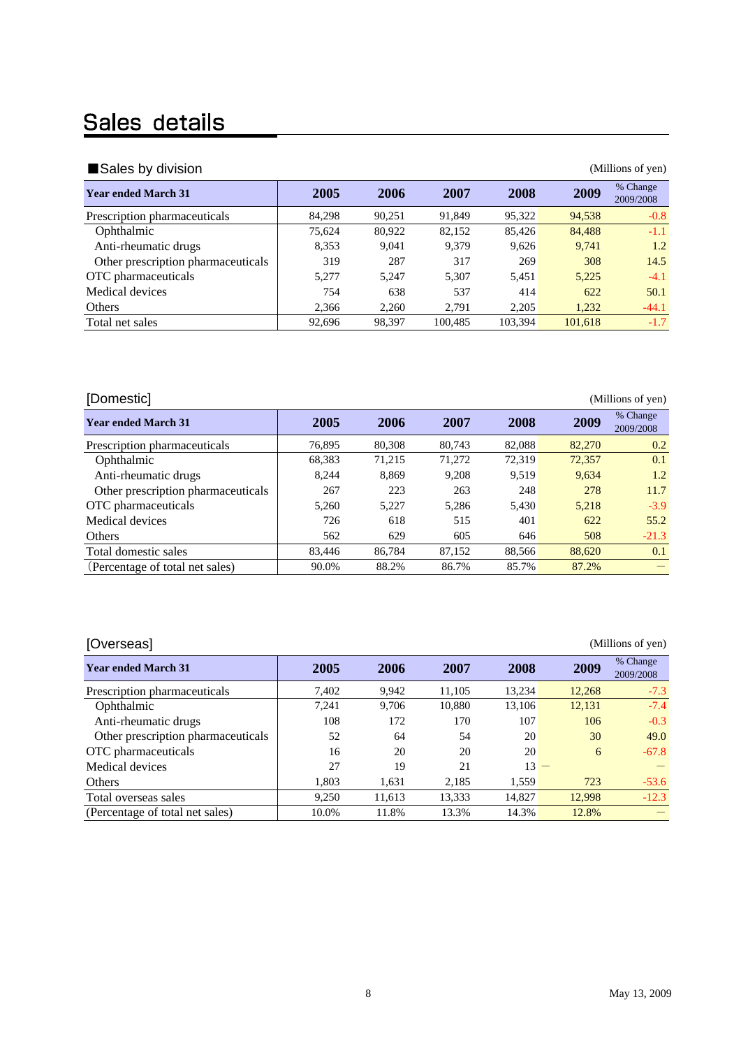# Sales details

| Sales by division<br>(Millions of yen) |        |        |         |         |         |                       |  |  |  |  |
|----------------------------------------|--------|--------|---------|---------|---------|-----------------------|--|--|--|--|
| <b>Year ended March 31</b>             | 2005   | 2006   | 2007    | 2008    | 2009    | % Change<br>2009/2008 |  |  |  |  |
| Prescription pharmaceuticals           | 84,298 | 90.251 | 91.849  | 95,322  | 94,538  | $-0.8$                |  |  |  |  |
| Ophthalmic                             | 75,624 | 80,922 | 82,152  | 85,426  | 84,488  | $-1.1$                |  |  |  |  |
| Anti-rheumatic drugs                   | 8,353  | 9.041  | 9.379   | 9,626   | 9.741   | 1.2                   |  |  |  |  |
| Other prescription pharmaceuticals     | 319    | 287    | 317     | 269     | 308     | 14.5                  |  |  |  |  |
| OTC pharmaceuticals                    | 5,277  | 5.247  | 5.307   | 5,451   | 5,225   | $-4.1$                |  |  |  |  |
| Medical devices                        | 754    | 638    | 537     | 414     | 622     | 50.1                  |  |  |  |  |
| Others                                 | 2,366  | 2,260  | 2.791   | 2,205   | 1,232   | $-44.1$               |  |  |  |  |
| Total net sales                        | 92,696 | 98,397 | 100,485 | 103,394 | 101,618 | $-1.7$                |  |  |  |  |

| [Domestic]                         |        |        |        |        |        | (Millions of yen)     |
|------------------------------------|--------|--------|--------|--------|--------|-----------------------|
| <b>Year ended March 31</b>         | 2005   | 2006   | 2007   | 2008   | 2009   | % Change<br>2009/2008 |
| Prescription pharmaceuticals       | 76.895 | 80,308 | 80.743 | 82,088 | 82,270 | 0.2                   |
| Ophthalmic                         | 68,383 | 71,215 | 71,272 | 72,319 | 72,357 | 0.1                   |
| Anti-rheumatic drugs               | 8.244  | 8.869  | 9,208  | 9,519  | 9,634  | 1.2                   |
| Other prescription pharmaceuticals | 267    | 223    | 263    | 248    | 278    | 11.7                  |
| OTC pharmaceuticals                | 5.260  | 5.227  | 5.286  | 5.430  | 5.218  | $-3.9$                |
| Medical devices                    | 726    | 618    | 515    | 401    | 622    | 55.2                  |
| Others                             | 562    | 629    | 605    | 646    | 508    | $-21.3$               |
| Total domestic sales               | 83.446 | 86.784 | 87.152 | 88.566 | 88,620 | 0.1                   |
| (Percentage of total net sales)    | 90.0%  | 88.2%  | 86.7%  | 85.7%  | 87.2%  |                       |

[Overseas] (Millions of yen)

| , <del>,</del> , , , , , , , , ,   |       |        |        |        |        |                       |
|------------------------------------|-------|--------|--------|--------|--------|-----------------------|
| <b>Year ended March 31</b>         | 2005  | 2006   | 2007   | 2008   | 2009   | % Change<br>2009/2008 |
| Prescription pharmaceuticals       | 7,402 | 9,942  | 11,105 | 13.234 | 12,268 | $-7.3$                |
| Ophthalmic                         | 7,241 | 9,706  | 10,880 | 13,106 | 12,131 | $-7.4$                |
| Anti-rheumatic drugs               | 108   | 172    | 170    | 107    | 106    | $-0.3$                |
| Other prescription pharmaceuticals | 52    | 64     | 54     | 20     | 30     | 49.0                  |
| OTC pharmaceuticals                | 16    | 20     | 20     | 20     | 6      | $-67.8$               |
| Medical devices                    | 27    | 19     | 21     | $13 -$ |        |                       |
| <b>Others</b>                      | 1,803 | 1,631  | 2,185  | 1,559  | 723    | $-53.6$               |
| Total overseas sales               | 9,250 | 11,613 | 13,333 | 14,827 | 12,998 | $-12.3$               |
| (Percentage of total net sales)    | 10.0% | 11.8%  | 13.3%  | 14.3%  | 12.8%  |                       |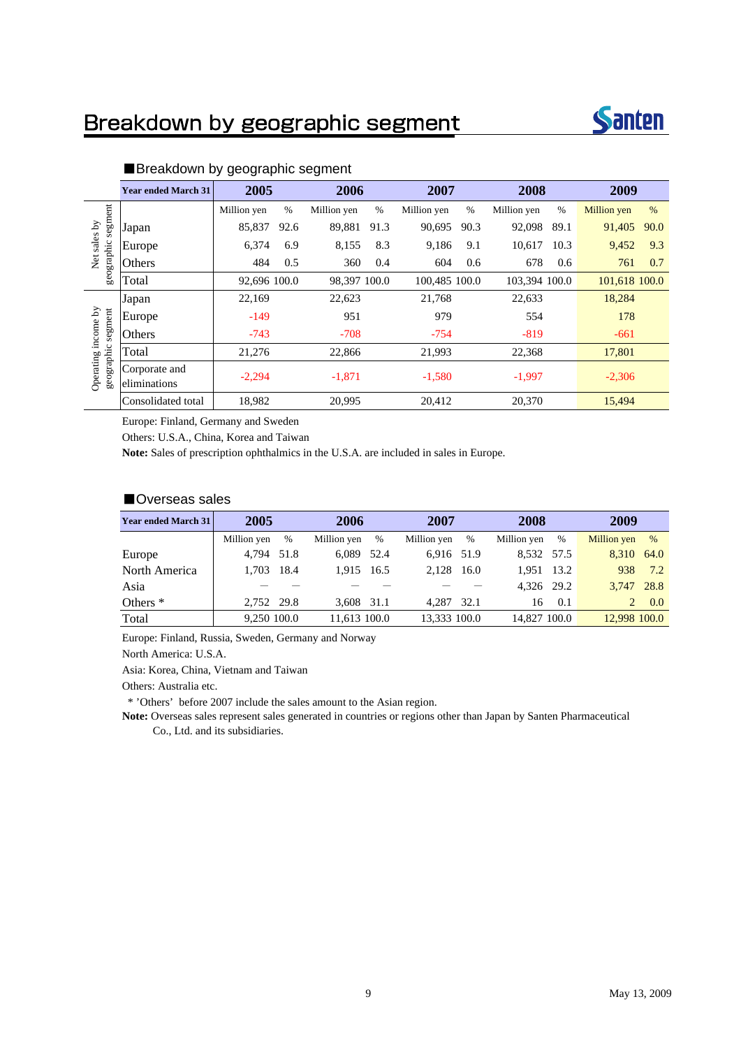# Breakdown by geographic segment



|                         | <b>Year ended March 31</b>    | 2005         |      | 2006         |      | 2007          |      | 2008          |      | 2009               |      |
|-------------------------|-------------------------------|--------------|------|--------------|------|---------------|------|---------------|------|--------------------|------|
|                         |                               | Million yen  | $\%$ | Million yen  | $\%$ | Million yen   | $\%$ | Million yen   | $\%$ | <b>Million</b> yen | $\%$ |
| segment<br>sales by     | Japan                         | 85,837       | 92.6 | 89,881       | 91.3 | 90,695        | 90.3 | 92,098        | 89.1 | 91,405             | 90.0 |
|                         | Europe                        | 6,374        | 6.9  | 8,155        | 8.3  | 9,186         | 9.1  | 10,617        | 10.3 | 9,452              | 9.3  |
| geographic<br>Net       | Others                        | 484          | 0.5  | 360          | 0.4  | 604           | 0.6  | 678           | 0.6  | 761                | 0.7  |
|                         | Total                         | 92,696 100.0 |      | 98,397 100.0 |      | 100,485 100.0 |      | 103.394 100.0 |      | 101,618 100.0      |      |
|                         | Japan                         | 22,169       |      | 22,623       |      | 21,768        |      | 22,633        |      | 18,284             |      |
| segment                 | Europe                        | $-149$       |      | 951          |      | 979           |      | 554           |      | 178                |      |
| income by               | Others                        | $-743$       |      | $-708$       |      | $-754$        |      | $-819$        |      | $-661$             |      |
|                         | Total                         | 21,276       |      | 22,866       |      | 21,993        |      | 22,368        |      | 17,801             |      |
| geographic<br>Operating | Corporate and<br>eliminations | $-2,294$     |      | $-1,871$     |      | $-1,580$      |      | $-1,997$      |      | $-2,306$           |      |
|                         | Consolidated total            | 18,982       |      | 20,995       |      | 20,412        |      | 20,370        |      | 15,494             |      |

#### ■Breakdown by geographic segment

Europe: Finland, Germany and Sweden

Others: U.S.A., China, Korea and Taiwan

**Note:** Sales of prescription ophthalmics in the U.S.A. are included in sales in Europe.

### ■Overseas sales

| <b>Year ended March 31</b> | 2005        |            |              | 2006 |              | 2007 |              | 2008 |              | 2009 |  |
|----------------------------|-------------|------------|--------------|------|--------------|------|--------------|------|--------------|------|--|
|                            | Million yen | %          | Million yen  | %    | Million yen  | $\%$ | Million yen  | $\%$ | Million yen  | $\%$ |  |
| Europe                     | 4.794       | 51.8       | 6.089        | 52.4 | 6.916 51.9   |      | 8.532 57.5   |      | 8.310 64.0   |      |  |
| North America              |             | 1,703 18.4 | 1.915        | 16.5 | 2.128        | 16.0 | 1.951 13.2   |      | 938          | 7.2  |  |
| Asia                       |             |            |              |      |              |      | 4.326 29.2   |      | 3.747 28.8   |      |  |
| Others <sup>*</sup>        | 2,752 29.8  |            | 3.608 31.1   |      | 4.287 32.1   |      | 16           | 0.1  |              | 0.0  |  |
| Total                      | 9.250 100.0 |            | 11.613 100.0 |      | 13.333 100.0 |      | 14,827 100.0 |      | 12,998 100.0 |      |  |

Europe: Finland, Russia, Sweden, Germany and Norway

North America: U.S.A.

Asia: Korea, China, Vietnam and Taiwan

Others: Australia etc.

\* 'Others' before 2007 include the sales amount to the Asian region.

**Note:** Overseas sales represent sales generated in countries or regions other than Japan by Santen Pharmaceutical Co., Ltd. and its subsidiaries.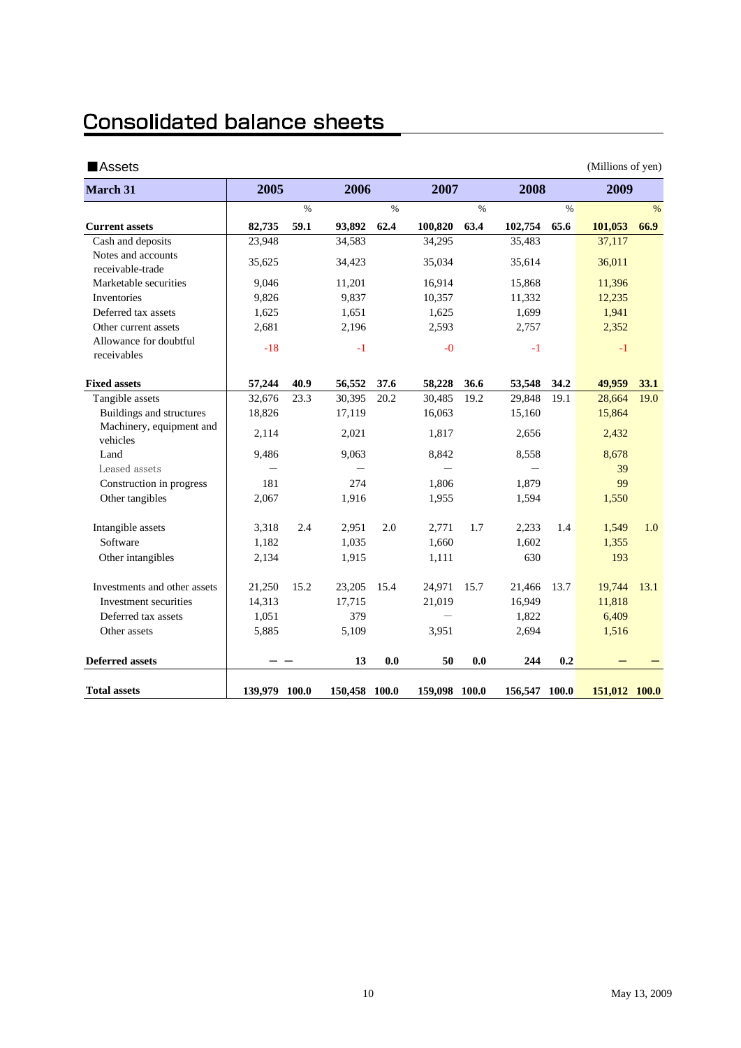# **Consolidated balance sheets**

| ■Assets                                |               |      |               |      |               |      |               |      | (Millions of yen) |      |
|----------------------------------------|---------------|------|---------------|------|---------------|------|---------------|------|-------------------|------|
| <b>March 31</b>                        | 2005          |      | 2006          |      | 2007          |      | 2008          |      | 2009              |      |
|                                        |               | $\%$ |               | $\%$ |               | $\%$ |               | $\%$ |                   | $\%$ |
| <b>Current assets</b>                  | 82,735        | 59.1 | 93,892        | 62.4 | 100,820       | 63.4 | 102,754       | 65.6 | 101,053           | 66.9 |
| Cash and deposits                      | 23,948        |      | 34,583        |      | 34,295        |      | 35,483        |      | 37,117            |      |
| Notes and accounts<br>receivable-trade | 35,625        |      | 34,423        |      | 35,034        |      | 35,614        |      | 36,011            |      |
| Marketable securities                  | 9,046         |      | 11,201        |      | 16,914        |      | 15,868        |      | 11,396            |      |
| Inventories                            | 9,826         |      | 9,837         |      | 10,357        |      | 11,332        |      | 12,235            |      |
| Deferred tax assets                    | 1,625         |      | 1,651         |      | 1,625         |      | 1,699         |      | 1,941             |      |
| Other current assets                   | 2,681         |      | 2,196         |      | 2,593         |      | 2,757         |      | 2,352             |      |
| Allowance for doubtful<br>receivables  | $-18$         |      | $-1$          |      | $-0$          |      | $-1$          |      | $-1$              |      |
| <b>Fixed assets</b>                    | 57,244        | 40.9 | 56,552        | 37.6 | 58,228        | 36.6 | 53,548        | 34.2 | 49,959            | 33.1 |
| Tangible assets                        | 32,676        | 23.3 | 30,395        | 20.2 | 30,485        | 19.2 | 29,848        | 19.1 | 28,664            | 19.0 |
| Buildings and structures               | 18,826        |      | 17,119        |      | 16,063        |      | 15,160        |      | 15,864            |      |
| Machinery, equipment and<br>vehicles   | 2,114         |      | 2,021         |      | 1,817         |      | 2,656         |      | 2,432             |      |
| Land                                   | 9,486         |      | 9,063         |      | 8,842         |      | 8,558         |      | 8,678             |      |
| Leased assets                          |               |      |               |      |               |      |               |      | 39                |      |
| Construction in progress               | 181           |      | 274           |      | 1,806         |      | 1,879         |      | 99                |      |
| Other tangibles                        | 2,067         |      | 1,916         |      | 1,955         |      | 1,594         |      | 1,550             |      |
| Intangible assets                      | 3,318         | 2.4  | 2,951         | 2.0  | 2,771         | 1.7  | 2,233         | 1.4  | 1,549             | 1.0  |
| Software                               | 1,182         |      | 1,035         |      | 1,660         |      | 1,602         |      | 1,355             |      |
| Other intangibles                      | 2,134         |      | 1,915         |      | 1,111         |      | 630           |      | 193               |      |
| Investments and other assets           | 21,250        | 15.2 | 23,205        | 15.4 | 24,971        | 15.7 | 21,466        | 13.7 | 19,744            | 13.1 |
| Investment securities                  | 14,313        |      | 17,715        |      | 21,019        |      | 16,949        |      | 11,818            |      |
| Deferred tax assets                    | 1,051         |      | 379           |      |               |      | 1,822         |      | 6,409             |      |
| Other assets                           | 5,885         |      | 5,109         |      | 3,951         |      | 2,694         |      | 1,516             |      |
| <b>Deferred assets</b>                 |               |      | 13            | 0.0  | 50            | 0.0  | 244           | 0.2  |                   |      |
| <b>Total assets</b>                    | 139,979 100.0 |      | 150,458 100.0 |      | 159,098 100.0 |      | 156,547 100.0 |      | 151,012 100.0     |      |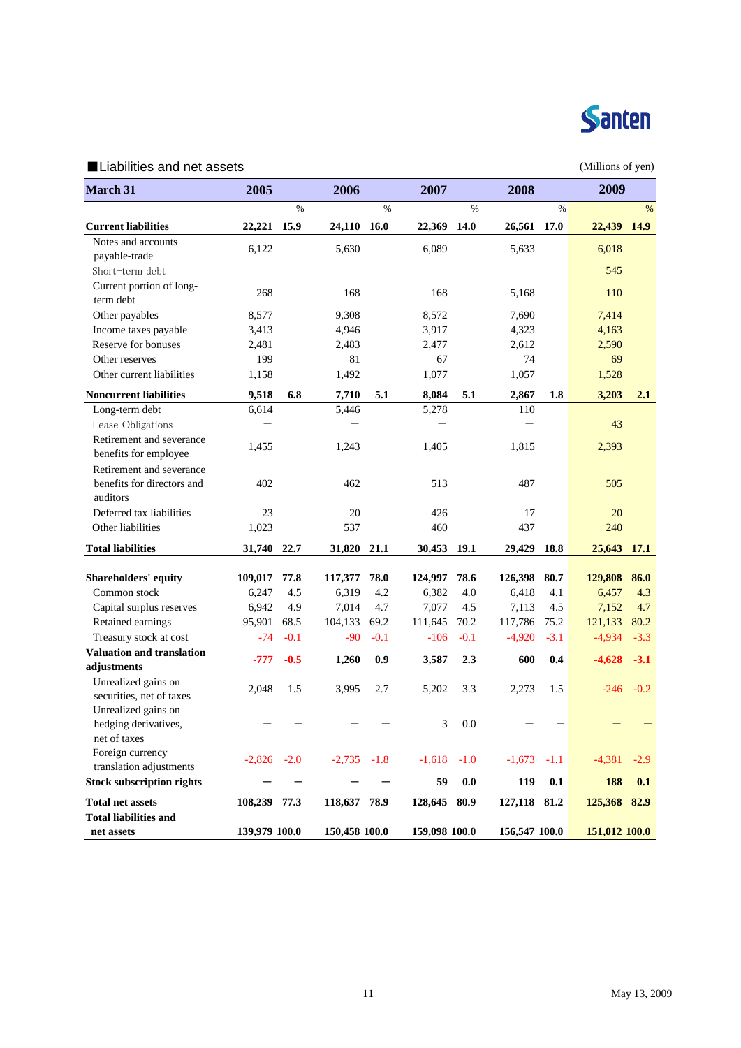

### ■Liabilities and net assets (Millions of yen)

| <b>March 31</b>                                             | 2005          |        | 2006          |             | 2007          |         | 2008          |        | 2009          |             |
|-------------------------------------------------------------|---------------|--------|---------------|-------------|---------------|---------|---------------|--------|---------------|-------------|
|                                                             |               | $\%$   |               | $\%$        |               | $\%$    |               | $\%$   |               | %           |
| <b>Current liabilities</b>                                  | 22,221 15.9   |        | 24,110        | <b>16.0</b> | 22,369        | 14.0    | 26,561        | 17.0   | 22,439 14.9   |             |
| Notes and accounts                                          | 6,122         |        | 5,630         |             | 6,089         |         | 5,633         |        | 6,018         |             |
| payable-trade                                               |               |        |               |             |               |         |               |        |               |             |
| Short-term debt                                             |               |        |               |             |               |         |               |        | 545           |             |
| Current portion of long-<br>term debt                       | 268           |        | 168           |             | 168           |         | 5,168         |        | 110           |             |
| Other payables                                              | 8,577         |        | 9,308         |             | 8,572         |         | 7,690         |        | 7,414         |             |
| Income taxes payable                                        | 3,413         |        | 4,946         |             | 3,917         |         | 4,323         |        | 4,163         |             |
| Reserve for bonuses                                         | 2,481         |        | 2,483         |             | 2,477         |         | 2,612         |        | 2,590         |             |
| Other reserves                                              | 199           |        | 81            |             | 67            |         | 74            |        | 69            |             |
| Other current liabilities                                   | 1,158         |        | 1,492         |             | 1,077         |         | 1,057         |        | 1,528         |             |
| <b>Noncurrent liabilities</b>                               | 9,518         | 6.8    | 7,710         | 5.1         | 8,084         | 5.1     | 2,867         | 1.8    | 3,203         | 2.1         |
| Long-term debt                                              | 6,614         |        | 5,446         |             | 5,278         |         | 110           |        |               |             |
| Lease Obligations                                           |               |        |               |             |               |         |               |        | 43            |             |
| Retirement and severance<br>benefits for employee           | 1,455         |        | 1,243         |             | 1,405         |         | 1,815         |        | 2,393         |             |
| Retirement and severance                                    |               |        |               |             |               |         |               |        |               |             |
| benefits for directors and<br>auditors                      | 402           |        | 462           |             | 513           |         | 487           |        | 505           |             |
| Deferred tax liabilities                                    | 23            |        | 20            |             | 426           |         | 17            |        | 20            |             |
| Other liabilities                                           | 1,023         |        | 537           |             | 460           |         | 437           |        | 240           |             |
| <b>Total liabilities</b>                                    | 31,740 22.7   |        | 31,820 21.1   |             | 30,453        | 19.1    | 29,429        | 18.8   | 25,643        | <b>17.1</b> |
|                                                             |               |        |               |             |               |         |               |        |               |             |
| Shareholders' equity                                        | 109,017       | 77.8   | 117,377       | 78.0        | 124,997       | 78.6    | 126,398       | 80.7   | 129,808       | 86.0        |
| Common stock                                                | 6,247         | 4.5    | 6,319         | 4.2         | 6,382         | 4.0     | 6,418         | 4.1    | 6,457         | 4.3         |
| Capital surplus reserves                                    | 6,942         | 4.9    | 7,014         | 4.7         | 7,077         | 4.5     | 7,113         | 4.5    | 7,152         | 4.7         |
| Retained earnings                                           | 95,901        | 68.5   | 104,133       | 69.2        | 111,645       | 70.2    | 117,786       | 75.2   | 121,133       | 80.2        |
| Treasury stock at cost                                      | $-74$         | $-0.1$ | -90           | $-0.1$      | $-106$        | $-0.1$  | $-4,920$      | $-3.1$ | $-4,934$      | $-3.3$      |
| Valuation and translation<br>adjustments                    | $-777$        | $-0.5$ | 1,260         | 0.9         | 3,587         | 2.3     | 600           | 0.4    | $-4,628$      | $-3.1$      |
| Unrealized gains on<br>securities, net of taxes             | 2,048         | 1.5    | 3,995         | 2.7         | 5,202         | 3.3     | 2,273         | 1.5    | $-246$        | $-0.2$      |
| Unrealized gains on                                         |               |        |               |             |               |         |               |        |               |             |
| hedging derivatives,                                        |               |        |               |             | 3             | 0.0     |               |        |               |             |
| net of taxes                                                |               |        |               |             |               |         |               |        |               |             |
| Foreign currency                                            | $-2,826$      | $-2.0$ | $-2,735 -1.8$ |             | $-1,618$      | $-1.0$  | $-1,673$      | $-1.1$ | $-4,381$      | $-2.9$      |
| translation adjustments<br><b>Stock subscription rights</b> |               |        |               |             |               |         |               |        |               |             |
|                                                             |               |        |               |             | 59            | $0.0\,$ | 119           | 0.1    | 188           | 0.1         |
| <b>Total net assets</b>                                     | 108,239 77.3  |        | 118,637 78.9  |             | 128,645 80.9  |         | 127,118 81.2  |        | 125,368 82.9  |             |
| <b>Total liabilities and</b><br>net assets                  | 139,979 100.0 |        | 150,458 100.0 |             | 159,098 100.0 |         | 156,547 100.0 |        | 151,012 100.0 |             |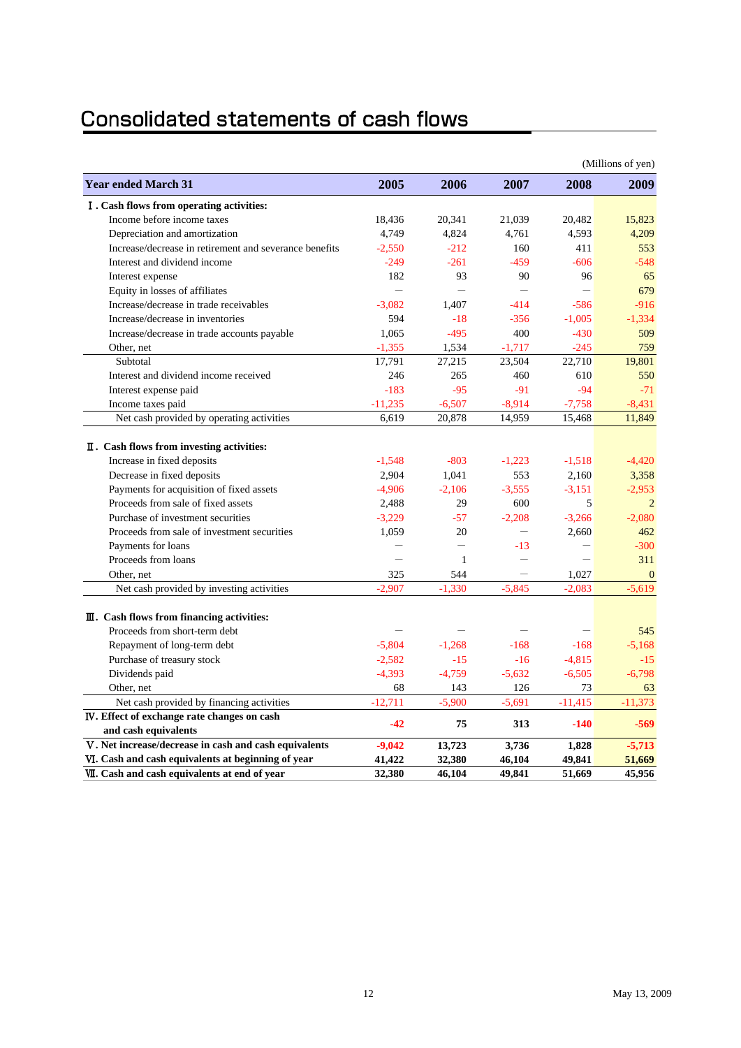# **Consolidated statements of cash flows**

|                                                                                                                                                         |                               |                             |                             |                               | (Millions of yen)             |
|---------------------------------------------------------------------------------------------------------------------------------------------------------|-------------------------------|-----------------------------|-----------------------------|-------------------------------|-------------------------------|
| <b>Year ended March 31</b>                                                                                                                              | 2005                          | 2006                        | 2007                        | 2008                          | 2009                          |
| I. Cash flows from operating activities:                                                                                                                |                               |                             |                             |                               |                               |
| Income before income taxes                                                                                                                              | 18,436                        | 20.341                      | 21,039                      | 20,482                        | 15,823                        |
| Depreciation and amortization                                                                                                                           | 4,749                         | 4,824                       | 4,761                       | 4,593                         | 4,209                         |
| Increase/decrease in retirement and severance benefits                                                                                                  | $-2,550$                      | $-212$                      | 160                         | 411                           | 553                           |
| Interest and dividend income                                                                                                                            | $-249$                        | $-261$                      | $-459$                      | $-606$                        | $-548$                        |
| Interest expense                                                                                                                                        | 182                           | 93                          | 90                          | 96                            | 65                            |
| Equity in losses of affiliates                                                                                                                          | $\overline{\phantom{0}}$      | $\equiv$                    | $\overline{\phantom{0}}$    | $\overline{\phantom{0}}$      | 679                           |
| Increase/decrease in trade receivables                                                                                                                  | $-3.082$                      | 1.407                       | $-414$                      | $-586$                        | $-916$                        |
| Increase/decrease in inventories                                                                                                                        | 594                           | $-18$                       | $-356$                      | $-1,005$                      | $-1,334$                      |
| Increase/decrease in trade accounts payable                                                                                                             | 1,065                         | $-495$                      | 400                         | $-430$                        | 509                           |
| Other, net                                                                                                                                              | $-1,355$                      | 1,534                       | $-1,717$                    | $-245$                        | 759                           |
| Subtotal                                                                                                                                                | 17,791                        | 27,215                      | 23,504                      | 22,710                        | 19,801                        |
| Interest and dividend income received                                                                                                                   | 246                           | 265                         | 460                         | 610                           | 550                           |
| Interest expense paid                                                                                                                                   | $-183$                        | $-95$                       | $-91$                       | $-94$                         | $-71$                         |
| Income taxes paid                                                                                                                                       | $-11,235$                     | $-6,507$                    | $-8,914$                    | $-7,758$                      | $-8,431$                      |
| Net cash provided by operating activities                                                                                                               | 6,619                         | 20,878                      | 14,959                      | 15,468                        | 11,849                        |
| <b>I.</b> Cash flows from investing activities:<br>Increase in fixed deposits<br>Decrease in fixed deposits<br>Payments for acquisition of fixed assets | $-1.548$<br>2,904<br>$-4.906$ | $-803$<br>1,041<br>$-2.106$ | $-1,223$<br>553<br>$-3.555$ | $-1,518$<br>2,160<br>$-3.151$ | $-4.420$<br>3,358<br>$-2.953$ |
| Proceeds from sale of fixed assets                                                                                                                      | 2,488                         | 29                          | 600                         | 5                             | $\overline{2}$                |
| Purchase of investment securities                                                                                                                       | $-3,229$                      | $-57$                       | $-2,208$                    | $-3,266$                      | $-2,080$                      |
| Proceeds from sale of investment securities                                                                                                             | 1,059                         | 20                          |                             | 2.660                         | 462                           |
| Payments for loans                                                                                                                                      |                               | $\overline{\phantom{0}}$    | $-13$                       |                               | $-300$                        |
| Proceeds from loans                                                                                                                                     | $\overline{\phantom{0}}$      | 1                           | $\overline{\phantom{0}}$    | $\overline{\phantom{0}}$      | 311                           |
| Other, net                                                                                                                                              | 325                           | 544                         | $\qquad \qquad -$           | 1,027                         | $\Omega$                      |
| Net cash provided by investing activities                                                                                                               | $-2.907$                      | $-1.330$                    | $-5.845$                    | $-2.083$                      | $-5,619$                      |
| $\mathbf{I}$ . Cash flows from financing activities:                                                                                                    |                               |                             |                             |                               |                               |
| Proceeds from short-term debt                                                                                                                           |                               |                             |                             |                               | 545                           |
| Repayment of long-term debt                                                                                                                             | $-5,804$                      | $-1,268$                    | $-168$                      | $-168$                        | $-5,168$                      |
| Purchase of treasury stock                                                                                                                              | $-2,582$                      | $-15$                       | $-16$                       | $-4,815$                      | $-15$                         |
| Dividends paid                                                                                                                                          | $-4,393$                      | $-4,759$                    | $-5,632$                    | $-6,505$                      | $-6,798$                      |
| Other, net                                                                                                                                              | 68                            | 143                         | 126                         | 73                            | 63                            |
| Net cash provided by financing activities                                                                                                               | $-12,711$                     | $-5,900$                    | $-5,691$                    | $-11,415$                     | $-11,373$                     |
| IV. Effect of exchange rate changes on cash                                                                                                             | $-42$                         | 75                          | 313                         | $-140$                        | $-569$                        |
| and cash equivalents                                                                                                                                    |                               |                             |                             |                               |                               |
| V. Net increase/decrease in cash and cash equivalents                                                                                                   | $-9,042$                      | 13,723                      | 3,736                       | 1,828                         | $-5,713$                      |
| VI. Cash and cash equivalents at beginning of year                                                                                                      | 41,422                        | 32,380                      | 46,104                      | 49,841                        | 51,669                        |
| VII. Cash and cash equivalents at end of year                                                                                                           | 32,380                        | 46,104                      | 49,841                      | 51,669                        | 45,956                        |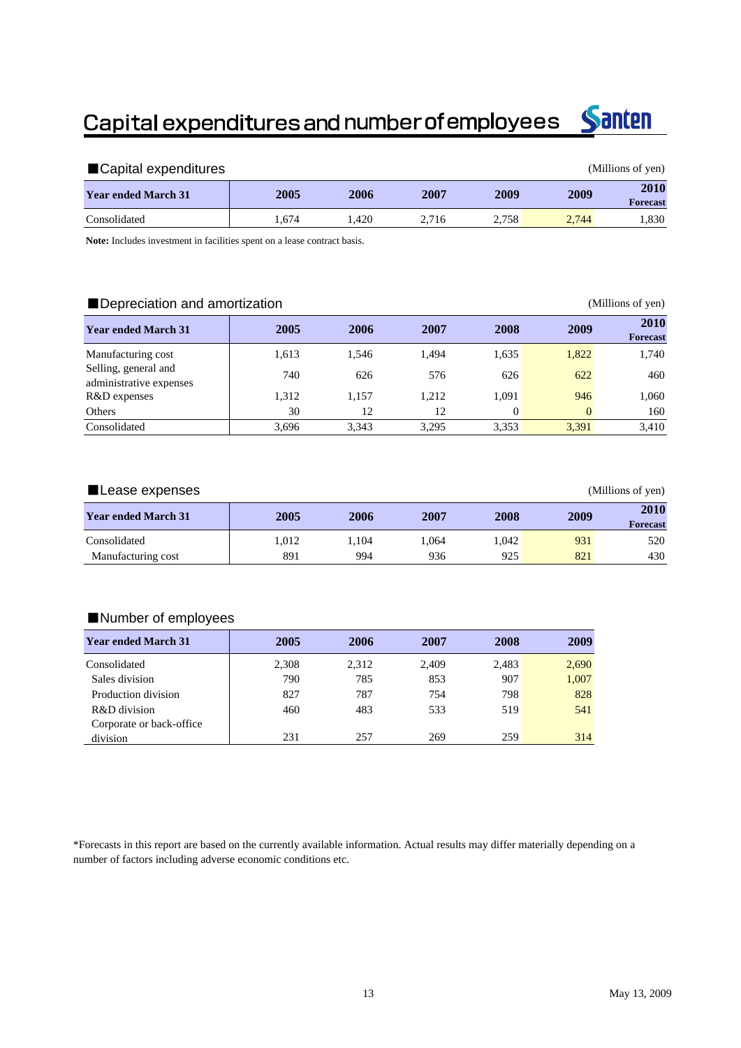# Capital expenditures and number of employees



| ■Capital expenditures      |       |      |       |       |       | (Millions of yen)              |
|----------------------------|-------|------|-------|-------|-------|--------------------------------|
| <b>Year ended March 31</b> | 2005  | 2006 | 2007  | 2009  | 2009  | <b>2010</b><br><b>Forecast</b> |
| Consolidated               | 1.674 | .420 | 2.716 | 2.758 | 2.744 | 1.830                          |

**Note:** Includes investment in facilities spent on a lease contract basis.

#### ■Depreciation and amortization (Millions of yen)

| <b>Year ended March 31</b>                      | 2005  | 2006  | 2007  | 2008     | 2009     | 2010<br><b>Forecast</b> |
|-------------------------------------------------|-------|-------|-------|----------|----------|-------------------------|
| Manufacturing cost                              | 1.613 | 1.546 | 1.494 | 1,635    | 1,822    | 1,740                   |
| Selling, general and<br>administrative expenses | 740   | 626   | 576   | 626      | 622      | 460                     |
| R&D expenses                                    | 1,312 | 1.157 | 1,212 | 1.091    | 946      | 1,060                   |
| Others                                          | 30    | 12    | 12    | $\Omega$ | $\Omega$ | 160                     |
| Consolidated                                    | 3,696 | 3,343 | 3.295 | 3,353    | 3,391    | 3,410                   |

| ∎Lease expenses            |       |       | (Millions of yen) |       |      |                         |
|----------------------------|-------|-------|-------------------|-------|------|-------------------------|
| <b>Year ended March 31</b> | 2005  | 2006  | 2007              | 2008  | 2009 | 2010<br><b>Forecast</b> |
| Consolidated               | 1.012 | 1.104 | 1.064             | 1.042 | 931  | 520                     |
| Manufacturing cost         | 891   | 994   | 936               | 925   | 821  | 430                     |

#### ■Number of employees

| <b>Year ended March 31</b> | 2005  | 2006  | 2007  | 2008  | 2009  |
|----------------------------|-------|-------|-------|-------|-------|
| Consolidated               | 2,308 | 2,312 | 2.409 | 2.483 | 2,690 |
| Sales division             | 790   | 785   | 853   | 907   | 1,007 |
| Production division        | 827   | 787   | 754   | 798   | 828   |
| R&D division               | 460   | 483   | 533   | 519   | 541   |
| Corporate or back-office   |       |       |       |       |       |
| division                   | 231   | 257   | 269   | 259   | 314   |

\*Forecasts in this report are based on the currently available information. Actual results may differ materially depending on a number of factors including adverse economic conditions etc.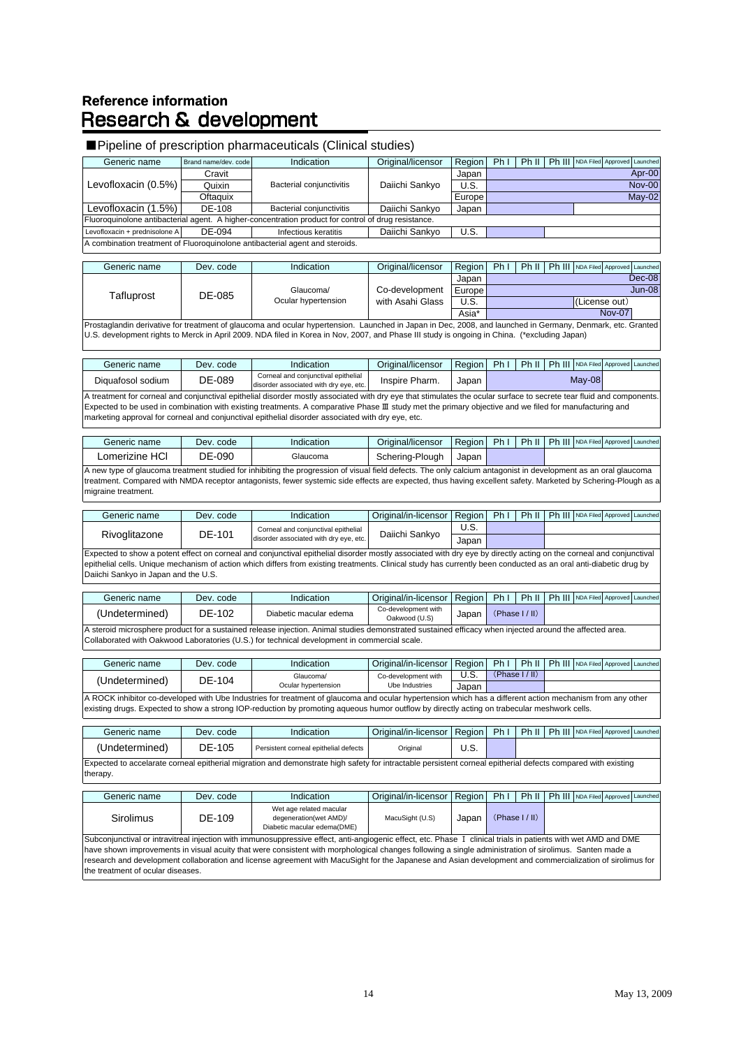### **Reference information Research & development**

#### ■ Pipeline of prescription pharmaceuticals (Clinical studies) Generic name Brand name/dev. code Indication | Original/licensor | Region | Ph I | Ph II | Ph III | NDA Filed Approved Launche Cravit | Japan Quixin | Bacterial conjunctivitis | Daiichi Sankyo | U.S. Oftaquix Europe Levofloxacin (1.5%) DE-108 Bacterial conjunctivitis Daiichi Sankyo Japan Levofloxacin + prednisolone A DE-094 Infectious keratitis Daiichi Sankyo U.S. Generic name Dev. code Indication | Original/licensor Region Ph I Ph II Ph III NDA Filed Japan **Europe** U.S. **(License out)** Asia\* Generic name Dev. code Indication Original/licensor Region Ph I Ph II Ph III NDA Filed Approved Launched Approved Launched Approved Launched Approved Launched Approved Launched Approved Launched Approved Launched Approved Diquafosol sodium DE-089 Corneal and conjunctival epithelia Corneal and conjunctival epithelial<br>lisorder associated with dry eve, etc. Inspire Pharm. Japan Generic name Dev. code Indication Original/licensor Region Ph I Ph II Ph III NDA Filed Approved Launche Lomerizine HCl DE-090 Glaucoma Schering-Plough Japan Generic name Dev. code Indication Original/in-licensor Region Ph I Ph II Ph III NDA Filed Approved Launche  $\overline{U}$ .s. Japan Generic name | Dev. code | Indication | Original/in-licensor | Region | Ph I | Ph II | Ph III | NDA Filed Approved Launche (Undetermined) DE-102 Diabetic macular edema Co-development with -development with Japan Generic name Dev. code Indication Original/in-licensor Region Ph I Ph II Ph III NDA Filed Approved Launched U.S. Japan Generic name | Dev. code | Indication | Original/in-licensor | Region | Ph I | Ph II | Ph III | NDA Filed Approved Launche (Undetermined) DE-105 Persistent corneal epithelial defects Original U.S. Generic name Dev. code Indication Original/in-licensor Region Ph I | Ph II | Ph III NDA Filed Approved Launched Sirolimus | DE-109 Wet age related macular degeneration(wet AMD). Diabetic macular edema(DME) MacuSight (U.S) Japan Expected to accelarate corneal epitherial migration and demonstrate high safety for intractable persistent corneal epitherial defects compared with existing therapy. (Phase I / II) Subconjunctival or intravitreal injection with immunosuppressive effect, anti-angiogenic effect, etc. Phase Ⅰ clinical trials in patients with wet AMD and DME have shown improvements in visual acuity that were consistent with morphological changes following a single administration of sirolimus. Santen made a research and development collaboration and license agreement with MacuSight for the Japanese and Asian development and commercialization of sirolimus for the treatment of ocular diseases. A ROCK inhibitor co-developed with Ube Industries for treatment of glaucoma and ocular hypertension which has a different action mechanism from any other existing drugs. Expected to show a strong IOP-reduction by promoting aqueous humor outflow by directly acting on trabecular meshwork cells. A new type of glaucoma treatment studied for inhibiting the progression of visual field defects. The only calcium antagonist in development as an oral glaucoma treatment. Compared with NMDA receptor antagonists, fewer systemic side effects are expected, thus having excellent safety. Marketed by Schering-Plough as a migraine treatment. Rivoglitazone **DE-101** Corneal and conjunctival epithelial Corneal and conjunctival epithelial [10] Daiichi Sankyo Prostaglandin derivative for treatment of glaucoma and ocular hypertension. Launched in Japan in Dec, 2008, and launched in Germany, Denmark, etc. Granted U.S. development rights to Merck in April 2009. NDA filed in Korea in Nov, 2007, and Phase III study is ongoing in China. (\*excluding Japan) May-08 A treatment for corneal and conjunctival epithelial disorder mostly associated with dry eye that stimulates the ocular surface to secrete tear fluid and components. Expected to be used in combination with existing treatments. A comparative Phase Ⅲ study met the primary objective and we filed for manufacturing and marketing approval for corneal and conjunctival epithelial disorder associated with dry eye, etc. A combination treatment of Fluoroquinolone antibacterial agent and steroids. Tafluprost DE-085 Glaucoma Ocular hypertension Co-development with Asahi Glass Dec-08 Jun-08 Nov-07 Expected to show a potent effect on corneal and conjunctival epithelial disorder mostly associated with dry eye by directly acting on the corneal and conjunctival epithelial cells. Unique mechanism of action which differs from existing treatments. Clinical study has currently been conducted as an oral anti-diabetic drug by Daiichi Sankyo in Japan and the U.S. (Phase I / II) A steroid microsphere product for a sustained release injection. Animal studies demonstrated sustained efficacy when injected around the affected area. Collaborated with Oakwood Laboratories (U.S.) for technical development in commercial scale.  $($ Undetermined) DE-104 Glaucoma Ocular hypertension Co-development with Ube Industries (Phase I / II) Levofloxacin (0.5%) Fluoroquinolone antibacterial agent. A higher-concentration product for control of drug resistance Nov-00 May-02 Apr-00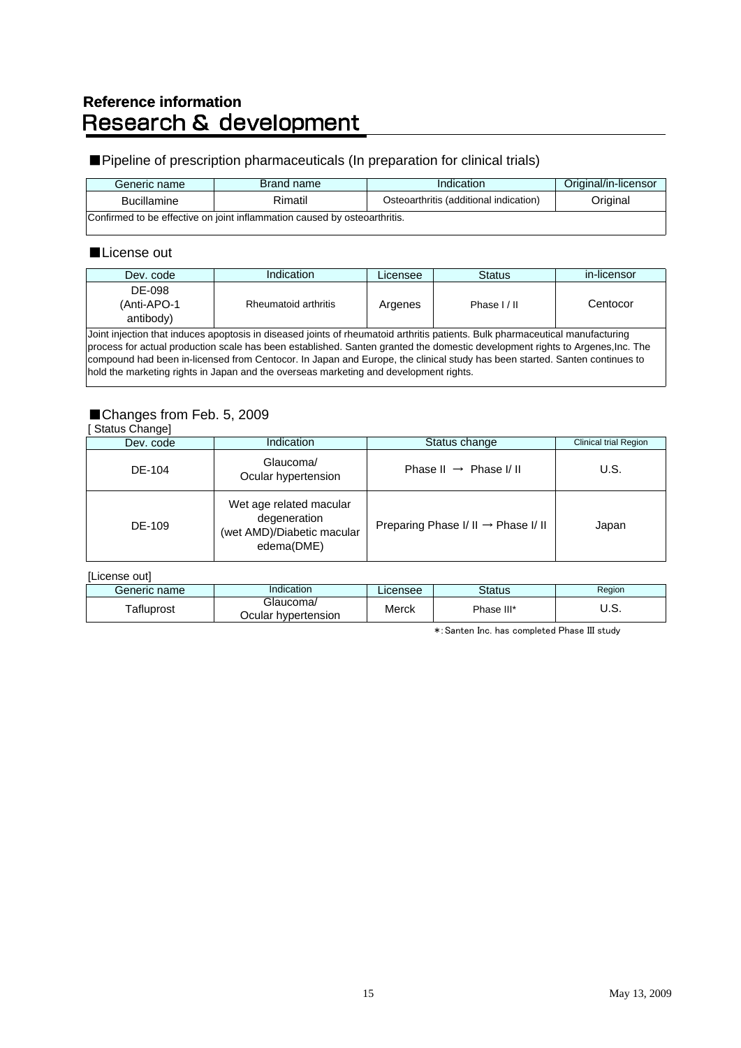# Reference information<br>Research & development

### ■ Pipeline of prescription pharmaceuticals (In preparation for clinical trials)

| Generic name       | Brand name                                                                | Indication                             | Original/in-licensor |
|--------------------|---------------------------------------------------------------------------|----------------------------------------|----------------------|
| <b>Bucillamine</b> | Rimatil                                                                   | Osteoarthritis (additional indication) | Original             |
|                    | Confirmed to be effective on joint inflammation caused by osteoarthritis. |                                        |                      |

### ■License out

| Dev. code                          | Indication                                                                                                                                                                                                                                                                                                                                                                                                                                                                            | Licensee | <b>Status</b> | in-licensor |
|------------------------------------|---------------------------------------------------------------------------------------------------------------------------------------------------------------------------------------------------------------------------------------------------------------------------------------------------------------------------------------------------------------------------------------------------------------------------------------------------------------------------------------|----------|---------------|-------------|
| DE-098<br>(Anti-APO-1<br>antibody) | Rheumatoid arthritis                                                                                                                                                                                                                                                                                                                                                                                                                                                                  | Argenes  | Phase I/II    | Centocor    |
|                                    | Joint injection that induces apoptosis in diseased joints of rheumatoid arthritis patients. Bulk pharmaceutical manufacturing<br>process for actual production scale has been established. Santen granted the domestic development rights to Argenes, Inc. The<br>compound had been in-licensed from Centocor. In Japan and Europe, the clinical study has been started. Santen continues to<br>hold the marketing rights in Japan and the overseas marketing and development rights. |          |               |             |

### ■Changes from Feb. 5, 2009

#### [ Status Change]

| Dev. code | Indication                                                                          | Status change                                   | <b>Clinical trial Region</b> |
|-----------|-------------------------------------------------------------------------------------|-------------------------------------------------|------------------------------|
| DE-104    | Glaucoma/<br>Ocular hypertension                                                    | Phase II $\rightarrow$ Phase I/II               | U.S.                         |
| DE-109    | Wet age related macular<br>degeneration<br>(wet AMD)/Diabetic macular<br>edema(DME) | Preparing Phase $I / II \rightarrow$ Phase I/II | Japan                        |

[License out]

| Generic name | Indication          | Licensee | Status     | Region |
|--------------|---------------------|----------|------------|--------|
| Tafluprost   | Glaucoma/           | Merck    | Phase III* | ບ.ບ.   |
|              | Ocular hvpertension |          |            |        |

\*:Santen Inc. has completed Phase III study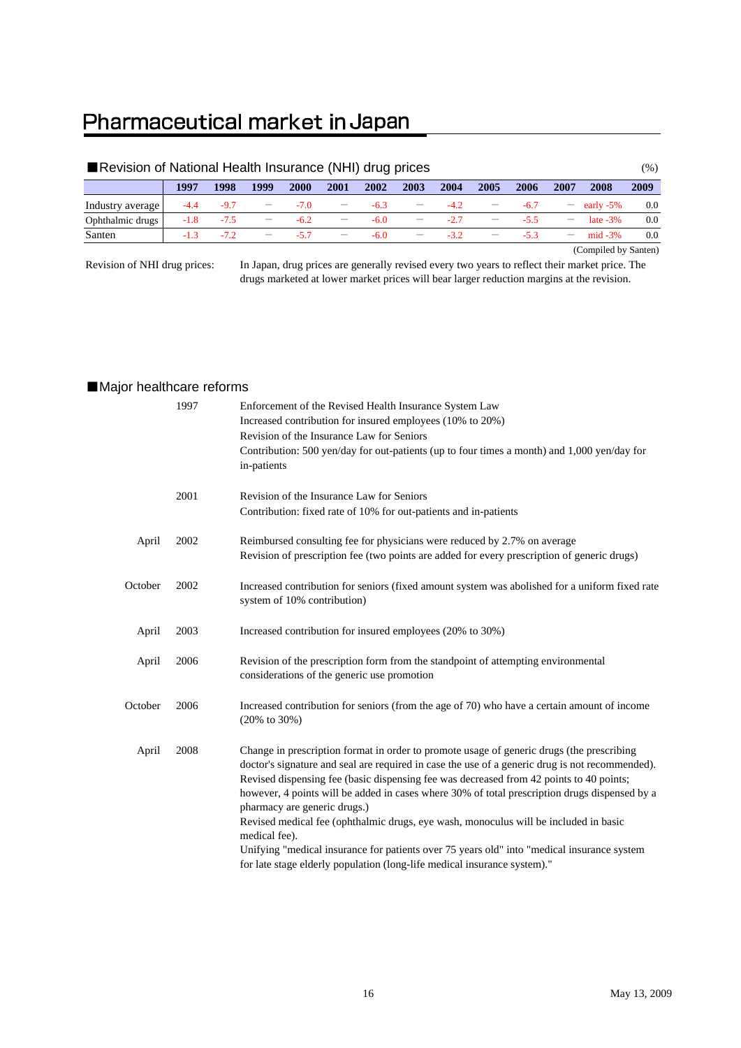# Pharmaceutical market in Japan

|                  | Revision of National Health Insurance (NHI) drug prices |        |                                 |        |                                 |        |                          |        |      |        |                                 |                      | (%)  |
|------------------|---------------------------------------------------------|--------|---------------------------------|--------|---------------------------------|--------|--------------------------|--------|------|--------|---------------------------------|----------------------|------|
|                  | 1997                                                    | 1998   | 1999                            | 2000   | 2001                            | 2002   | 2003                     | 2004   | 2005 | 2006   | 2007                            | 2008                 | 2009 |
| Industry average | $-4.4$                                                  | $-9.7$ | $\qquad \qquad -$               | $-7.0$ | $\hspace{0.1mm}-\hspace{0.1mm}$ | $-6.3$ | $\overline{\phantom{m}}$ | $-4.2$ |      | $-6.7$ | $-$                             | early $-5\%$         | 0.0  |
| Ophthalmic drugs | $-1.8$                                                  | $-75$  | $\hspace{0.1mm}-\hspace{0.1mm}$ | $-6.2$ | $\hspace{0.1mm}-\hspace{0.1mm}$ | $-6.0$ | $\hspace{0.05cm}$        | $-2.7$ |      | $-5.5$ | $\hspace{0.1mm}-\hspace{0.1mm}$ | late $-3\%$          | 0.0  |
| Santen           | $-1.3$                                                  | $-72$  | $\qquad \qquad -$               | $-57$  | $\hspace{0.1mm}-\hspace{0.1mm}$ | $-6.0$ | $\qquad \qquad -$        | $-3.2$ |      | $-5.3$ | $\overline{\phantom{m}}$        | $mid -3%$            | 0.0  |
|                  |                                                         |        |                                 |        |                                 |        |                          |        |      |        |                                 | (Compiled by Santen) |      |

Revision of NHI drug prices:

In Japan, drug prices are generally revised every two years to reflect their market price. The drugs marketed at lower market prices will bear larger reduction margins at the revision.

### ■Major healthcare reforms

|         | 1997 | Enforcement of the Revised Health Insurance System Law<br>Increased contribution for insured employees (10% to 20%)<br>Revision of the Insurance Law for Seniors<br>Contribution: 500 yen/day for out-patients (up to four times a month) and 1,000 yen/day for<br>in-patients                                                                                                                                                                                                                                                                                                                                                                                                                              |
|---------|------|-------------------------------------------------------------------------------------------------------------------------------------------------------------------------------------------------------------------------------------------------------------------------------------------------------------------------------------------------------------------------------------------------------------------------------------------------------------------------------------------------------------------------------------------------------------------------------------------------------------------------------------------------------------------------------------------------------------|
|         | 2001 | Revision of the Insurance Law for Seniors<br>Contribution: fixed rate of 10% for out-patients and in-patients                                                                                                                                                                                                                                                                                                                                                                                                                                                                                                                                                                                               |
| April   | 2002 | Reimbursed consulting fee for physicians were reduced by 2.7% on average<br>Revision of prescription fee (two points are added for every prescription of generic drugs)                                                                                                                                                                                                                                                                                                                                                                                                                                                                                                                                     |
| October | 2002 | Increased contribution for seniors (fixed amount system was abolished for a uniform fixed rate<br>system of 10% contribution)                                                                                                                                                                                                                                                                                                                                                                                                                                                                                                                                                                               |
| April   | 2003 | Increased contribution for insured employees (20% to 30%)                                                                                                                                                                                                                                                                                                                                                                                                                                                                                                                                                                                                                                                   |
| April   | 2006 | Revision of the prescription form from the standpoint of attempting environmental<br>considerations of the generic use promotion                                                                                                                                                                                                                                                                                                                                                                                                                                                                                                                                                                            |
| October | 2006 | Increased contribution for seniors (from the age of 70) who have a certain amount of income<br>$(20\% \text{ to } 30\%)$                                                                                                                                                                                                                                                                                                                                                                                                                                                                                                                                                                                    |
| April   | 2008 | Change in prescription format in order to promote usage of generic drugs (the prescribing<br>doctor's signature and seal are required in case the use of a generic drug is not recommended).<br>Revised dispensing fee (basic dispensing fee was decreased from 42 points to 40 points;<br>however, 4 points will be added in cases where 30% of total prescription drugs dispensed by a<br>pharmacy are generic drugs.)<br>Revised medical fee (ophthalmic drugs, eye wash, monoculus will be included in basic<br>medical fee).<br>Unifying "medical insurance for patients over 75 years old" into "medical insurance system<br>for late stage elderly population (long-life medical insurance system)." |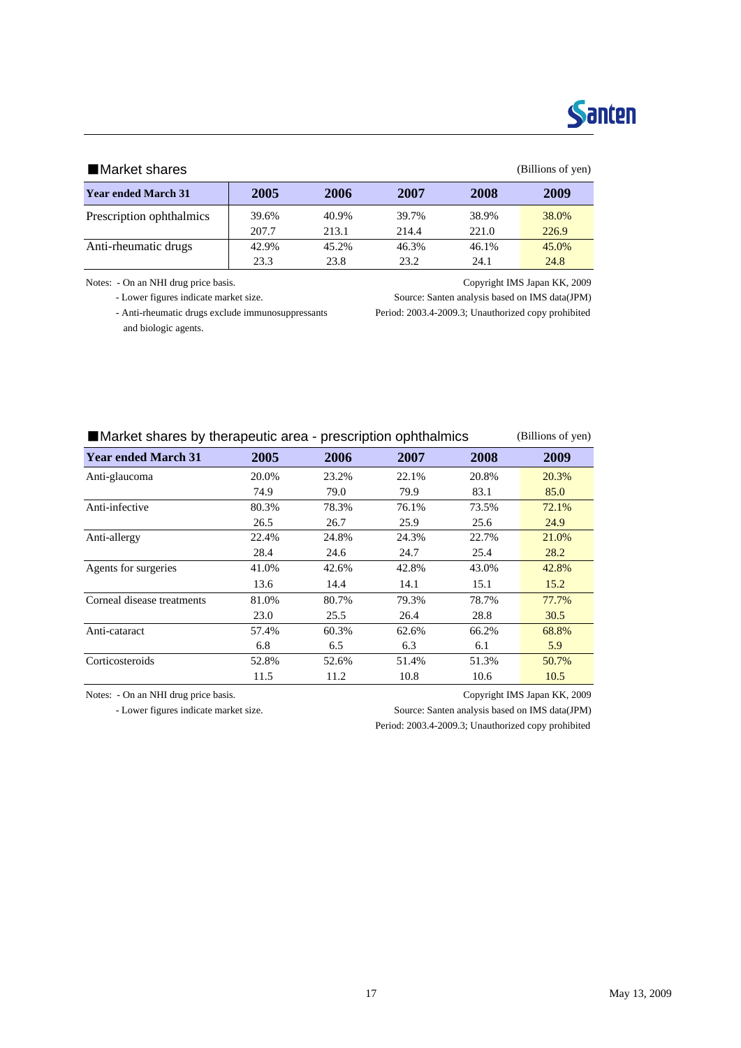# Santen

#### ■Market shares (Billions of yen)

| <b>Year ended March 31</b> | 2005  | 2006  | 2007  | 2008  | 2009  |
|----------------------------|-------|-------|-------|-------|-------|
| Prescription ophthalmics   | 39.6% | 40.9% | 39.7% | 38.9% | 38.0% |
|                            | 207.7 | 213.1 | 214.4 | 221.0 | 226.9 |
| Anti-rheumatic drugs       | 42.9% | 45.2% | 46.3% | 46.1% | 45.0% |
|                            | 23.3  | 23.8  | 23.2  | 24.1  | 24.8  |

Notes: - On an NHI drug price basis. Copyright IMS Japan KK, 2009

- Lower figures indicate market size. Source: Santen analysis based on IMS data(JPM)

and biologic agents.

- Anti-rheumatic drugs exclude immunosuppressants Period: 2003.4-2009.3; Unauthorized copy prohibited

| ■ Market shares by therapeutic area - prescription ophthalmics | (Billions of yen) |       |       |       |       |
|----------------------------------------------------------------|-------------------|-------|-------|-------|-------|
| <b>Year ended March 31</b>                                     | 2005              | 2006  | 2007  | 2008  | 2009  |
| Anti-glaucoma                                                  | 20.0%             | 23.2% | 22.1% | 20.8% | 20.3% |
|                                                                | 74.9              | 79.0  | 79.9  | 83.1  | 85.0  |
| Anti-infective                                                 | 80.3%             | 78.3% | 76.1% | 73.5% | 72.1% |
|                                                                | 26.5              | 26.7  | 25.9  | 25.6  | 24.9  |
| Anti-allergy                                                   | 22.4%             | 24.8% | 24.3% | 22.7% | 21.0% |
|                                                                | 28.4              | 24.6  | 24.7  | 25.4  | 28.2  |
| Agents for surgeries                                           | 41.0%             | 42.6% | 42.8% | 43.0% | 42.8% |
|                                                                | 13.6              | 14.4  | 14.1  | 15.1  | 15.2  |
| Corneal disease treatments                                     | 81.0%             | 80.7% | 79.3% | 78.7% | 77.7% |
|                                                                | 23.0              | 25.5  | 26.4  | 28.8  | 30.5  |
| Anti-cataract                                                  | 57.4%             | 60.3% | 62.6% | 66.2% | 68.8% |
|                                                                | 6.8               | 6.5   | 6.3   | 6.1   | 5.9   |
| Corticosteroids                                                | 52.8%             | 52.6% | 51.4% | 51.3% | 50.7% |
|                                                                | 11.5              | 11.2  | 10.8  | 10.6  | 10.5  |

Notes: - On an NHI drug price basis. Copyright IMS Japan KK, 2009

- Lower figures indicate market size. Source: Santen analysis based on IMS data(JPM) Period: 2003.4-2009.3; Unauthorized copy prohibited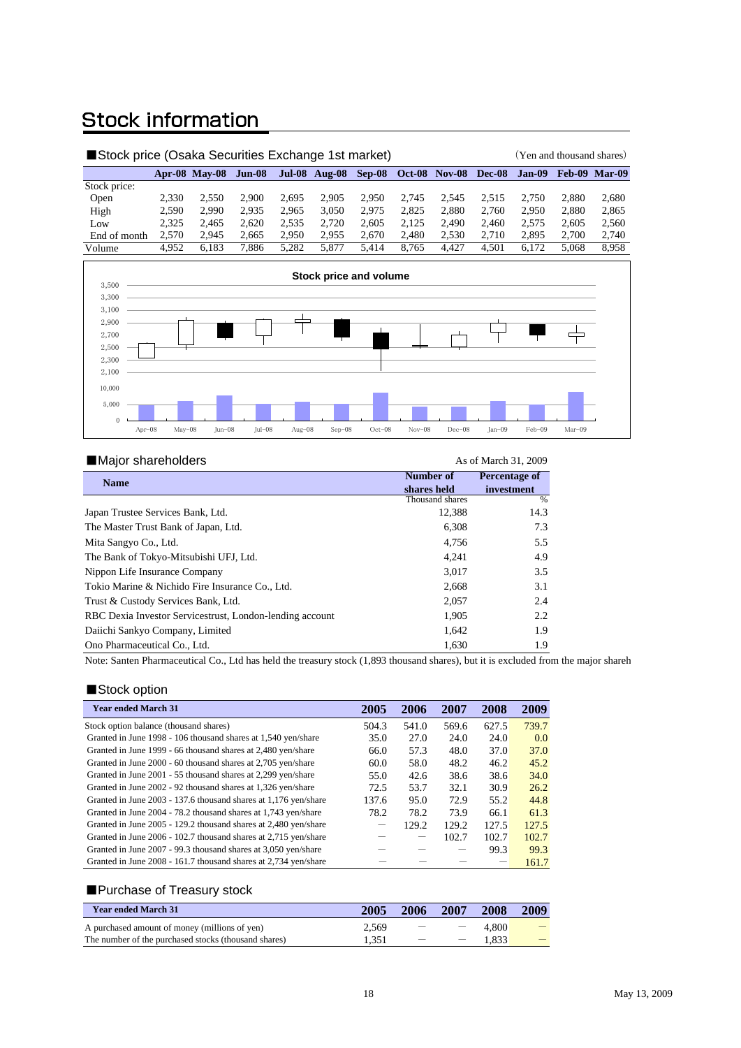# **Stock information**

| ■Stock price (Osaka Securities Exchange 1st market) |       |                      |               |       |                      |        |       | (Yen and thousand shares) |               |        |       |                      |
|-----------------------------------------------------|-------|----------------------|---------------|-------|----------------------|--------|-------|---------------------------|---------------|--------|-------|----------------------|
|                                                     |       | <b>Apr-08 May-08</b> | <b>Jun-08</b> |       | <b>Jul-08 Aug-08</b> | Sep-08 |       | <b>Oct-08 Nov-08</b>      | <b>Dec-08</b> | Jan-09 |       | <b>Feb-09 Mar-09</b> |
| Stock price:                                        |       |                      |               |       |                      |        |       |                           |               |        |       |                      |
| Open                                                | 2.330 | 2.550                | 2.900         | 2.695 | 2.905                | 2.950  | 2.745 | 2.545                     | 2.515         | 2.750  | 2.880 | 2,680                |
| High                                                | 2.590 | 2.990                | 2.935         | 2.965 | 3.050                | 2.975  | 2.825 | 2.880                     | 2.760         | 2.950  | 2.880 | 2,865                |
| Low                                                 | 2.325 | 2.465                | 2.620         | 2,535 | 2.720                | 2.605  | 2.125 | 2.490                     | 2.460         | 2.575  | 2.605 | 2,560                |
| End of month                                        | 2.570 | 2.945                | 2.665         | 2.950 | 2.955                | 2.670  | 2.480 | 2.530                     | 2.710         | 2.895  | 2.700 | 2,740                |
| Volume                                              | 4.952 | 6,183                | 7.886         | 5.282 | 5.877                | 5.414  | 8.765 | 4.427                     | 4.501         | 6.172  | 5.068 | 8,958                |



| Major shareholders                                       |                 | As of March 31, 2009 |
|----------------------------------------------------------|-----------------|----------------------|
| <b>Name</b>                                              | Number of       | <b>Percentage of</b> |
|                                                          | shares held     | investment           |
|                                                          | Thousand shares | %                    |
| Japan Trustee Services Bank, Ltd.                        | 12,388          | 14.3                 |
| The Master Trust Bank of Japan, Ltd.                     | 6,308           | 7.3                  |
| Mita Sangyo Co., Ltd.                                    | 4.756           | 5.5                  |
| The Bank of Tokyo-Mitsubishi UFJ, Ltd.                   | 4.241           | 4.9                  |
| Nippon Life Insurance Company                            | 3,017           | 3.5                  |
| Tokio Marine & Nichido Fire Insurance Co., Ltd.          | 2,668           | 3.1                  |
| Trust & Custody Services Bank, Ltd.                      | 2,057           | 2.4                  |
| RBC Dexia Investor Servicestrust, London-lending account | 1.905           | 2.2                  |
| Daiichi Sankyo Company, Limited                          | 1,642           | 1.9                  |
| Ono Pharmaceutical Co., Ltd.                             | 1,630           | 1.9                  |

Note: Santen Pharmaceutical Co., Ltd has held the treasury stock (1,893 thousand shares), but it is excluded from the major shareh

#### ■Stock option

| <b>Year ended March 31</b>                                      | 2005  | 2006  | 2007  | 2008  | 2009  |
|-----------------------------------------------------------------|-------|-------|-------|-------|-------|
| Stock option balance (thousand shares)                          | 504.3 | 541.0 | 569.6 | 627.5 | 739.7 |
| Granted in June 1998 - 106 thousand shares at 1,540 yen/share   | 35.0  | 27.0  | 24.0  | 24.0  | 0.0   |
| Granted in June 1999 - 66 thousand shares at 2,480 yen/share    | 66.0  | 57.3  | 48.0  | 37.0  | 37.0  |
| Granted in June 2000 - 60 thousand shares at 2,705 yen/share    | 60.0  | 58.0  | 48.2  | 46.2  | 45.2  |
| Granted in June 2001 - 55 thousand shares at 2,299 yen/share    | 55.0  | 42.6  | 38.6  | 38.6  | 34.0  |
| Granted in June 2002 - 92 thousand shares at 1,326 yen/share    | 72.5  | 53.7  | 32.1  | 30.9  | 26.2  |
| Granted in June 2003 - 137.6 thousand shares at 1,176 yen/share | 137.6 | 95.0  | 72.9  | 55.2  | 44.8  |
| Granted in June 2004 - 78.2 thousand shares at 1,743 yen/share  | 78.2  | 78.2  | 73.9  | 66.1  | 61.3  |
| Granted in June 2005 - 129.2 thousand shares at 2,480 yen/share |       | 129.2 | 129.2 | 127.5 | 127.5 |
| Granted in June 2006 - 102.7 thousand shares at 2,715 yen/share |       |       | 102.7 | 102.7 | 102.7 |
| Granted in June 2007 - 99.3 thousand shares at 3,050 yen/share  |       |       |       | 99.3  | 99.3  |
| Granted in June 2008 - 161.7 thousand shares at 2,734 yen/share |       |       |       |       | 161.7 |

#### ■Purchase of Treasury stock

| <b>Year ended March 31</b>                           | 2005  | 2006                     | 2007                            | 2008  | 2009 |
|------------------------------------------------------|-------|--------------------------|---------------------------------|-------|------|
| A purchased amount of money (millions of yen)        | 2.569 | $\overline{\phantom{0}}$ | $\overline{\phantom{a}}$        | 4.800 | $-$  |
| The number of the purchased stocks (thousand shares) | . 351 | $\overline{\phantom{a}}$ | $\hspace{0.1mm}-\hspace{0.1mm}$ | 1.833 |      |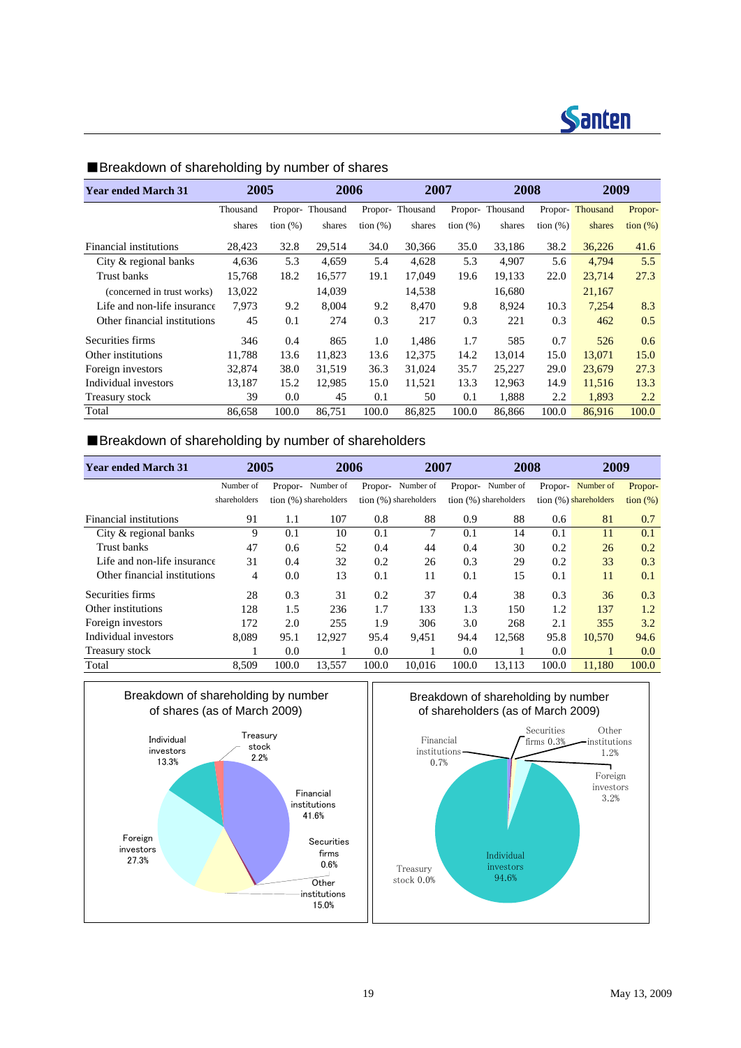

| <b>Year ended March 31</b>   | 2005     |                   | 2006            |             | 2007            |             | 2008     |             | 2009            |                   |
|------------------------------|----------|-------------------|-----------------|-------------|-----------------|-------------|----------|-------------|-----------------|-------------------|
|                              | Thousand |                   | Propor-Thousand |             | Propor-Thousand | Propor-     | Thousand |             | Propor-Thousand | Propor-           |
|                              | shares   | $\frac{1}{2}$ (%) | shares          | tion $(\%)$ | shares          | tion $(\%)$ | shares   | tion $(\%)$ | shares          | $\frac{1}{2}$ (%) |
| Financial institutions       | 28,423   | 32.8              | 29,514          | 34.0        | 30,366          | 35.0        | 33,186   | 38.2        | 36,226          | 41.6              |
| City & regional banks        | 4,636    | 5.3               | 4,659           | 5.4         | 4,628           | 5.3         | 4,907    | 5.6         | 4,794           | 5.5               |
| Trust banks                  | 15,768   | 18.2              | 16,577          | 19.1        | 17,049          | 19.6        | 19,133   | 22.0        | 23,714          | 27.3              |
| (concerned in trust works)   | 13,022   |                   | 14,039          |             | 14,538          |             | 16,680   |             | 21,167          |                   |
| Life and non-life insurance  | 7.973    | 9.2               | 8.004           | 9.2         | 8.470           | 9.8         | 8.924    | 10.3        | 7,254           | 8.3               |
| Other financial institutions | 45       | 0.1               | 274             | 0.3         | 217             | 0.3         | 221      | 0.3         | 462             | 0.5               |
| Securities firms             | 346      | 0.4               | 865             | 1.0         | 1,486           | 1.7         | 585      | 0.7         | 526             | 0.6               |
| Other institutions           | 11,788   | 13.6              | 11,823          | 13.6        | 12,375          | 14.2        | 13,014   | 15.0        | 13,071          | 15.0              |
| Foreign investors            | 32,874   | 38.0              | 31,519          | 36.3        | 31,024          | 35.7        | 25,227   | 29.0        | 23,679          | 27.3              |
| Individual investors         | 13,187   | 15.2              | 12,985          | 15.0        | 11,521          | 13.3        | 12,963   | 14.9        | 11,516          | 13.3              |
| Treasury stock               | 39       | 0.0               | 45              | 0.1         | 50              | 0.1         | 1,888    | 2.2         | 1,893           | 2.2               |
| Total                        | 86,658   | 100.0             | 86,751          | 100.0       | 86,825          | 100.0       | 86,866   | 100.0       | 86,916          | 100.0             |

### ■Breakdown of shareholding by number of shares

### ■Breakdown of shareholding by number of shareholders

| <b>Year ended March 31</b>   | 2005         |         | 2006                  |         | 2007                  |         | 2008                  |         | 2009                  |                   |
|------------------------------|--------------|---------|-----------------------|---------|-----------------------|---------|-----------------------|---------|-----------------------|-------------------|
|                              | Number of    | Propor- | Number of             | Propor- | Number of             | Propor- | Number of             | Propor- | Number of             | Propor-           |
|                              | shareholders |         | tion (%) shareholders |         | tion (%) shareholders |         | tion (%) shareholders |         | tion (%) shareholders | $\frac{1}{2}$ (%) |
| Financial institutions       | 91           | 1.1     | 107                   | 0.8     | 88                    | 0.9     | 88                    | 0.6     | 81                    | 0.7               |
| City & regional banks        | 9            | 0.1     | 10                    | 0.1     | 7                     | 0.1     | 14                    | 0.1     | 11                    | 0.1               |
| Trust banks                  | 47           | 0.6     | 52                    | 0.4     | 44                    | 0.4     | 30                    | 0.2     | 26                    | 0.2               |
| Life and non-life insurance  | 31           | 0.4     | 32                    | 0.2     | 26                    | 0.3     | 29                    | 0.2     | 33                    | 0.3               |
| Other financial institutions | 4            | 0.0     | 13                    | 0.1     | 11                    | 0.1     | 15                    | 0.1     | 11                    | 0.1               |
| Securities firms             | 28           | 0.3     | 31                    | 0.2     | 37                    | 0.4     | 38                    | 0.3     | 36                    | 0.3               |
| Other institutions           | 128          | 1.5     | 236                   | 1.7     | 133                   | 1.3     | 150                   | 1.2     | 137                   | 1.2               |
| Foreign investors            | 172          | 2.0     | 255                   | 1.9     | 306                   | 3.0     | 268                   | 2.1     | 355                   | 3.2               |
| Individual investors         | 8,089        | 95.1    | 12,927                | 95.4    | 9,451                 | 94.4    | 12,568                | 95.8    | 10.570                | 94.6              |
| Treasury stock               |              | 0.0     |                       | 0.0     |                       | 0.0     |                       | 0.0     | 1                     | 0.0               |
| Total                        | 8,509        | 100.0   | 13,557                | 100.0   | 10.016                | 100.0   | 13,113                | 100.0   | 11,180                | 100.0             |





Individual investors 94.6%

Treasury stock 0.0%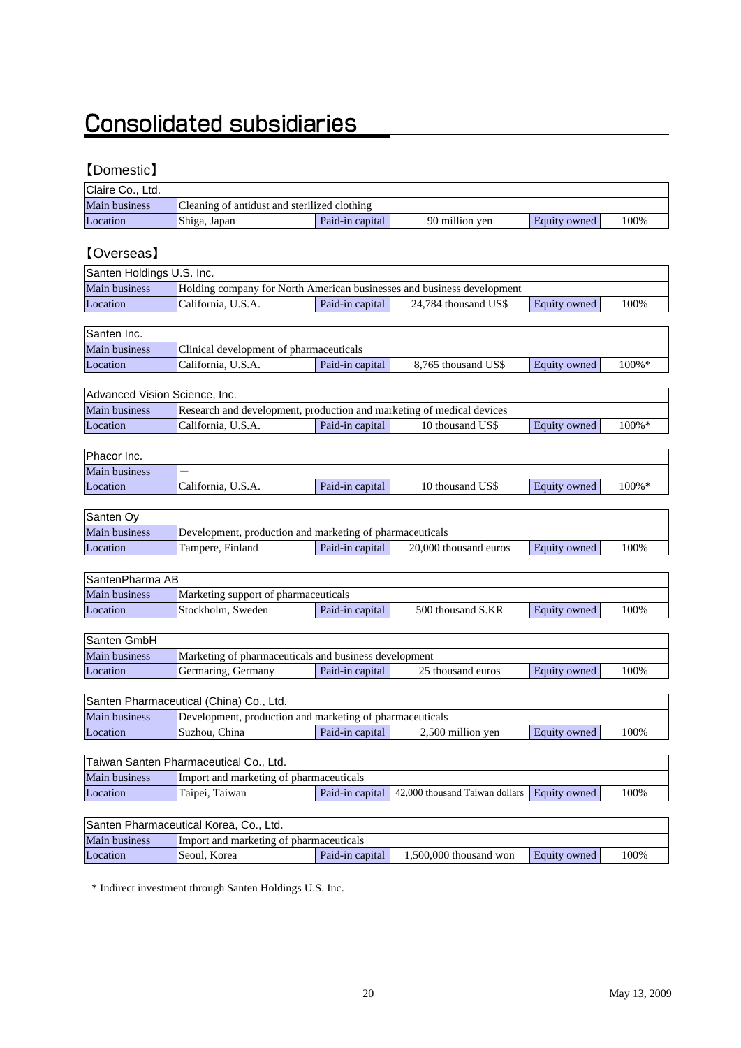# **Consolidated subsidiaries**

### 【Domestic】

| Claire Co., Ltd.              |                                                                              |                 |                                                                        |                     |       |  |  |  |  |  |
|-------------------------------|------------------------------------------------------------------------------|-----------------|------------------------------------------------------------------------|---------------------|-------|--|--|--|--|--|
| Main business                 | Cleaning of antidust and sterilized clothing                                 |                 |                                                                        |                     |       |  |  |  |  |  |
| Location                      | Shiga, Japan                                                                 | Paid-in capital | 90 million yen                                                         | Equity owned        | 100%  |  |  |  |  |  |
|                               |                                                                              |                 |                                                                        |                     |       |  |  |  |  |  |
| <b>[Overseas]</b>             |                                                                              |                 |                                                                        |                     |       |  |  |  |  |  |
| Santen Holdings U.S. Inc.     |                                                                              |                 |                                                                        |                     |       |  |  |  |  |  |
| Main business                 |                                                                              |                 | Holding company for North American businesses and business development |                     |       |  |  |  |  |  |
| Location                      | California, U.S.A.                                                           | Paid-in capital | 24,784 thousand US\$                                                   | Equity owned        | 100%  |  |  |  |  |  |
|                               |                                                                              |                 |                                                                        |                     |       |  |  |  |  |  |
| Santen Inc.                   |                                                                              |                 |                                                                        |                     |       |  |  |  |  |  |
| Main business                 | Clinical development of pharmaceuticals                                      |                 |                                                                        |                     |       |  |  |  |  |  |
| Location                      | Paid-in capital<br>California, U.S.A.<br>8,765 thousand US\$<br>Equity owned |                 |                                                                        |                     |       |  |  |  |  |  |
|                               |                                                                              |                 |                                                                        |                     | 100%* |  |  |  |  |  |
| Advanced Vision Science, Inc. |                                                                              |                 |                                                                        |                     |       |  |  |  |  |  |
| Main business                 | Research and development, production and marketing of medical devices        |                 |                                                                        |                     |       |  |  |  |  |  |
| Location                      | California, U.S.A.                                                           | Paid-in capital | 10 thousand US\$                                                       | Equity owned        | 100%* |  |  |  |  |  |
|                               |                                                                              |                 |                                                                        |                     |       |  |  |  |  |  |
| Phacor Inc.                   |                                                                              |                 |                                                                        |                     |       |  |  |  |  |  |
| Main business                 |                                                                              |                 |                                                                        |                     |       |  |  |  |  |  |
| Location                      | California, U.S.A.                                                           | Paid-in capital | 10 thousand US\$                                                       | Equity owned        | 100%* |  |  |  |  |  |
|                               |                                                                              |                 |                                                                        |                     |       |  |  |  |  |  |
| Santen Oy                     |                                                                              |                 |                                                                        |                     |       |  |  |  |  |  |
| Main business                 | Development, production and marketing of pharmaceuticals                     |                 |                                                                        |                     |       |  |  |  |  |  |
| Location                      | Tampere, Finland                                                             | Paid-in capital | 20,000 thousand euros                                                  | Equity owned        | 100%  |  |  |  |  |  |
|                               |                                                                              |                 |                                                                        |                     |       |  |  |  |  |  |
| SantenPharma AB               |                                                                              |                 |                                                                        |                     |       |  |  |  |  |  |
| Main business                 | Marketing support of pharmaceuticals                                         |                 |                                                                        |                     |       |  |  |  |  |  |
| Location                      | Stockholm, Sweden                                                            | Paid-in capital | 500 thousand S.KR                                                      | Equity owned        | 100%  |  |  |  |  |  |
|                               |                                                                              |                 |                                                                        |                     |       |  |  |  |  |  |
| Santen GmbH                   |                                                                              |                 |                                                                        |                     |       |  |  |  |  |  |
| Main business                 | Marketing of pharmaceuticals and business development                        |                 |                                                                        |                     |       |  |  |  |  |  |
| Location                      | Germaring, Germany                                                           | Paid-in capital | 25 thousand euros                                                      | <b>Equity</b> owned | 100%  |  |  |  |  |  |
|                               |                                                                              |                 |                                                                        |                     |       |  |  |  |  |  |
|                               | Santen Pharmaceutical (China) Co., Ltd.                                      |                 |                                                                        |                     |       |  |  |  |  |  |
| Main business                 | Development, production and marketing of pharmaceuticals                     |                 |                                                                        |                     |       |  |  |  |  |  |
| Location                      | Suzhou, China                                                                | Paid-in capital | 2,500 million yen                                                      | Equity owned        | 100%  |  |  |  |  |  |
|                               |                                                                              |                 |                                                                        |                     |       |  |  |  |  |  |
|                               | Taiwan Santen Pharmaceutical Co., Ltd.                                       |                 |                                                                        |                     |       |  |  |  |  |  |
| Main business                 | Import and marketing of pharmaceuticals                                      |                 |                                                                        |                     |       |  |  |  |  |  |
| Location                      | Taipei, Taiwan                                                               | Paid-in capital | 42,000 thousand Taiwan dollars                                         | Equity owned        | 100%  |  |  |  |  |  |
|                               |                                                                              |                 |                                                                        |                     |       |  |  |  |  |  |
|                               | Santen Pharmaceutical Korea, Co., Ltd.                                       |                 |                                                                        |                     |       |  |  |  |  |  |
| Main business                 | Import and marketing of pharmaceuticals                                      |                 |                                                                        |                     |       |  |  |  |  |  |
| Location                      | Seoul, Korea                                                                 | Paid-in capital | 1,500,000 thousand won                                                 | Equity owned        | 100%  |  |  |  |  |  |

\* Indirect investment through Santen Holdings U.S. Inc.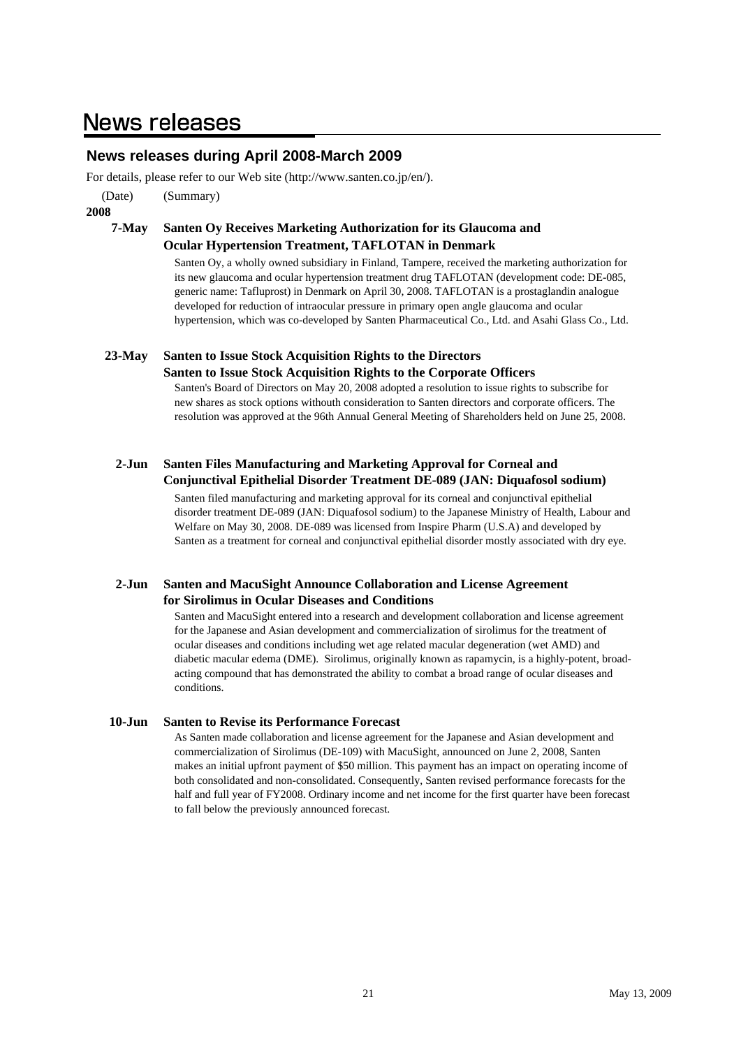# **News releases**

### **News releases during April 2008-March 2009**

For details, please refer to our Web site (http://www.santen.co.jp/en/).

(Date) (Summary)

**2008**

### **7-May Santen Oy Receives Marketing Authorization for its Glaucoma and Ocular Hypertension Treatment, TAFLOTAN in Denmark**

Santen Oy, a wholly owned subsidiary in Finland, Tampere, received the marketing authorization for its new glaucoma and ocular hypertension treatment drug TAFLOTAN (development code: DE-085, generic name: Tafluprost) in Denmark on April 30, 2008. TAFLOTAN is a prostaglandin analogue developed for reduction of intraocular pressure in primary open angle glaucoma and ocular hypertension, which was co-developed by Santen Pharmaceutical Co., Ltd. and Asahi Glass Co., Ltd.

#### **23-May Santen to Issue Stock Acquisition Rights to the Directors**

#### **Santen to Issue Stock Acquisition Rights to the Corporate Officers**

Santen's Board of Directors on May 20, 2008 adopted a resolution to issue rights to subscribe for new shares as stock options withouth consideration to Santen directors and corporate officers. The resolution was approved at the 96th Annual General Meeting of Shareholders held on June 25, 2008.

#### **2-Jun Santen Files Manufacturing and Marketing Approval for Corneal and Conjunctival Epithelial Disorder Treatment DE-089 (JAN: Diquafosol sodium)**

Santen filed manufacturing and marketing approval for its corneal and conjunctival epithelial disorder treatment DE-089 (JAN: Diquafosol sodium) to the Japanese Ministry of Health, Labour and Welfare on May 30, 2008. DE-089 was licensed from Inspire Pharm (U.S.A) and developed by Santen as a treatment for corneal and conjunctival epithelial disorder mostly associated with dry eye.

#### **2-Jun Santen and MacuSight Announce Collaboration and License Agreement for Sirolimus in Ocular Diseases and Conditions**

Santen and MacuSight entered into a research and development collaboration and license agreement for the Japanese and Asian development and commercialization of sirolimus for the treatment of ocular diseases and conditions including wet age related macular degeneration (wet AMD) and diabetic macular edema (DME). Sirolimus, originally known as rapamycin, is a highly-potent, broadacting compound that has demonstrated the ability to combat a broad range of ocular diseases and conditions.

#### **10-Jun Santen to Revise its Performance Forecast**

As Santen made collaboration and license agreement for the Japanese and Asian development and commercialization of Sirolimus (DE-109) with MacuSight, announced on June 2, 2008, Santen makes an initial upfront payment of \$50 million. This payment has an impact on operating income of both consolidated and non-consolidated. Consequently, Santen revised performance forecasts for the half and full year of FY2008. Ordinary income and net income for the first quarter have been forecast to fall below the previously announced forecast.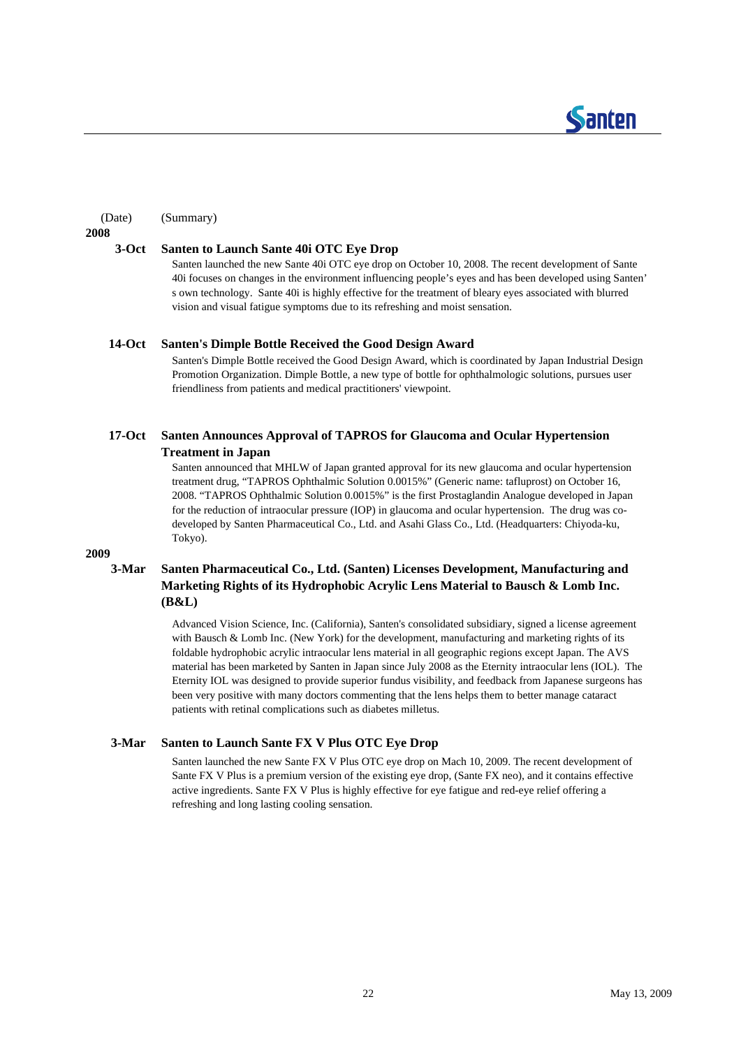

#### (Date) (Summary)

**2008**

#### **3-Oct Santen to Launch Sante 40i OTC Eye Drop**

Santen launched the new Sante 40i OTC eye drop on October 10, 2008. The recent development of Sante 40i focuses on changes in the environment influencing people's eyes and has been developed using Santen' s own technology. Sante 40i is highly effective for the treatment of bleary eyes associated with blurred vision and visual fatigue symptoms due to its refreshing and moist sensation.

#### **14-Oct Santen's Dimple Bottle Received the Good Design Award**

Santen's Dimple Bottle received the Good Design Award, which is coordinated by Japan Industrial Design Promotion Organization. Dimple Bottle, a new type of bottle for ophthalmologic solutions, pursues user friendliness from patients and medical practitioners' viewpoint.

#### **17-Oct Santen Announces Approval of TAPROS for Glaucoma and Ocular Hypertension Treatment in Japan**

Santen announced that MHLW of Japan granted approval for its new glaucoma and ocular hypertension treatment drug, "TAPROS Ophthalmic Solution 0.0015%" (Generic name: tafluprost) on October 16, 2008. "TAPROS Ophthalmic Solution 0.0015%" is the first Prostaglandin Analogue developed in Japan for the reduction of intraocular pressure (IOP) in glaucoma and ocular hypertension. The drug was codeveloped by Santen Pharmaceutical Co., Ltd. and Asahi Glass Co., Ltd. (Headquarters: Chiyoda-ku, Tokyo).

#### **2009**

#### **3-Mar Santen Pharmaceutical Co., Ltd. (Santen) Licenses Development, Manufacturing and Marketing Rights of its Hydrophobic Acrylic Lens Material to Bausch & Lomb Inc. (B&L)**

Advanced Vision Science, Inc. (California), Santen's consolidated subsidiary, signed a license agreement with Bausch & Lomb Inc. (New York) for the development, manufacturing and marketing rights of its foldable hydrophobic acrylic intraocular lens material in all geographic regions except Japan. The AVS material has been marketed by Santen in Japan since July 2008 as the Eternity intraocular lens (IOL). The Eternity IOL was designed to provide superior fundus visibility, and feedback from Japanese surgeons has been very positive with many doctors commenting that the lens helps them to better manage cataract patients with retinal complications such as diabetes milletus.

#### **3-Mar Santen to Launch Sante FX V Plus OTC Eye Drop**

Santen launched the new Sante FX V Plus OTC eye drop on Mach 10, 2009. The recent development of Sante FX V Plus is a premium version of the existing eye drop, (Sante FX neo), and it contains effective active ingredients. Sante FX V Plus is highly effective for eye fatigue and red-eye relief offering a refreshing and long lasting cooling sensation.